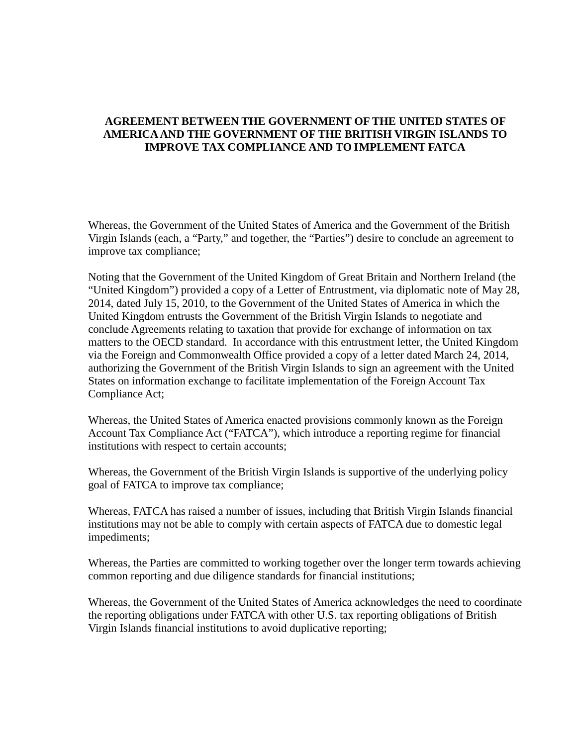## **AGREEMENT BETWEEN THE GOVERNMENT OF THE UNITED STATES OF AMERICA AND THE GOVERNMENT OF THE BRITISH VIRGIN ISLANDS TO IMPROVE TAX COMPLIANCE AND TO IMPLEMENT FATCA**

Whereas, the Government of the United States of America and the Government of the British Virgin Islands (each, a "Party," and together, the "Parties") desire to conclude an agreement to improve tax compliance;

Noting that the Government of the United Kingdom of Great Britain and Northern Ireland (the "United Kingdom") provided a copy of a Letter of Entrustment, via diplomatic note of May 28, 2014, dated July 15, 2010, to the Government of the United States of America in which the United Kingdom entrusts the Government of the British Virgin Islands to negotiate and conclude Agreements relating to taxation that provide for exchange of information on tax matters to the OECD standard. In accordance with this entrustment letter, the United Kingdom via the Foreign and Commonwealth Office provided a copy of a letter dated March 24, 2014, authorizing the Government of the British Virgin Islands to sign an agreement with the United States on information exchange to facilitate implementation of the Foreign Account Tax Compliance Act;

Whereas, the United States of America enacted provisions commonly known as the Foreign Account Tax Compliance Act ("FATCA"), which introduce a reporting regime for financial institutions with respect to certain accounts;

Whereas, the Government of the British Virgin Islands is supportive of the underlying policy goal of FATCA to improve tax compliance;

Whereas, FATCA has raised a number of issues, including that British Virgin Islands financial institutions may not be able to comply with certain aspects of FATCA due to domestic legal impediments;

Whereas, the Parties are committed to working together over the longer term towards achieving common reporting and due diligence standards for financial institutions;

Whereas, the Government of the United States of America acknowledges the need to coordinate the reporting obligations under FATCA with other U.S. tax reporting obligations of British Virgin Islands financial institutions to avoid duplicative reporting;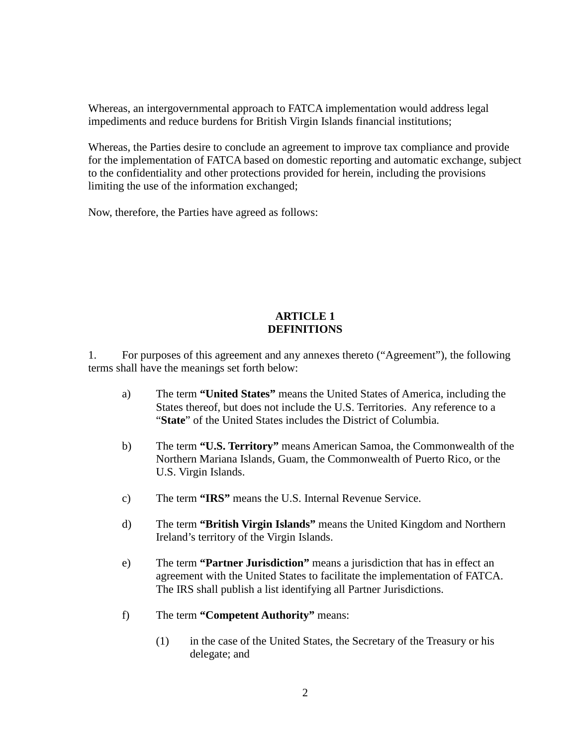Whereas, an intergovernmental approach to FATCA implementation would address legal impediments and reduce burdens for British Virgin Islands financial institutions;

Whereas, the Parties desire to conclude an agreement to improve tax compliance and provide for the implementation of FATCA based on domestic reporting and automatic exchange, subject to the confidentiality and other protections provided for herein, including the provisions limiting the use of the information exchanged;

Now, therefore, the Parties have agreed as follows:

# **ARTICLE 1 DEFINITIONS**

1. For purposes of this agreement and any annexes thereto ("Agreement"), the following terms shall have the meanings set forth below:

- a) The term **"United States"** means the United States of America, including the States thereof, but does not include the U.S. Territories. Any reference to a "**State**" of the United States includes the District of Columbia.
- b) The term **"U.S. Territory"** means American Samoa, the Commonwealth of the Northern Mariana Islands, Guam, the Commonwealth of Puerto Rico, or the U.S. Virgin Islands.
- c) The term **"IRS"** means the U.S. Internal Revenue Service.
- d) The term **"British Virgin Islands"** means the United Kingdom and Northern Ireland's territory of the Virgin Islands.
- e) The term **"Partner Jurisdiction"** means a jurisdiction that has in effect an agreement with the United States to facilitate the implementation of FATCA. The IRS shall publish a list identifying all Partner Jurisdictions.
- f) The term **"Competent Authority"** means:
	- (1) in the case of the United States, the Secretary of the Treasury or his delegate; and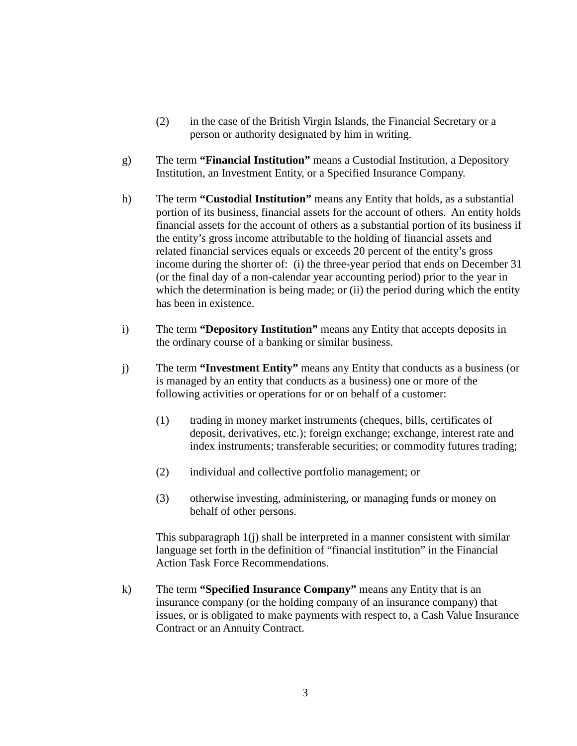- (2) in the case of the British Virgin Islands, the Financial Secretary or a person or authority designated by him in writing.
- g) The term **"Financial Institution"** means a Custodial Institution, a Depository Institution, an Investment Entity, or a Specified Insurance Company.
- h) The term **"Custodial Institution"** means any Entity that holds, as a substantial portion of its business, financial assets for the account of others. An entity holds financial assets for the account of others as a substantial portion of its business if the entity's gross income attributable to the holding of financial assets and related financial services equals or exceeds 20 percent of the entity's gross income during the shorter of: (i) the three-year period that ends on December 31 (or the final day of a non-calendar year accounting period) prior to the year in which the determination is being made; or (ii) the period during which the entity has been in existence.
- i) The term **"Depository Institution"** means any Entity that accepts deposits in the ordinary course of a banking or similar business.
- j) The term **"Investment Entity"** means any Entity that conducts as a business (or is managed by an entity that conducts as a business) one or more of the following activities or operations for or on behalf of a customer:
	- (1) trading in money market instruments (cheques, bills, certificates of deposit, derivatives, etc.); foreign exchange; exchange, interest rate and index instruments; transferable securities; or commodity futures trading;
	- (2) individual and collective portfolio management; or
	- (3) otherwise investing, administering, or managing funds or money on behalf of other persons.

This subparagraph 1(j) shall be interpreted in a manner consistent with similar language set forth in the definition of "financial institution" in the Financial Action Task Force Recommendations.

k) The term **"Specified Insurance Company"** means any Entity that is an insurance company (or the holding company of an insurance company) that issues, or is obligated to make payments with respect to, a Cash Value Insurance Contract or an Annuity Contract.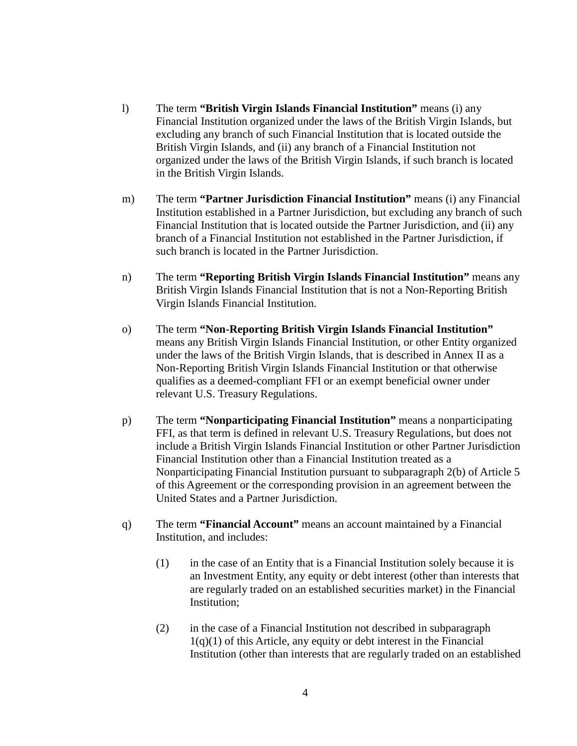- l) The term **"British Virgin Islands Financial Institution"** means (i) any Financial Institution organized under the laws of the British Virgin Islands, but excluding any branch of such Financial Institution that is located outside the British Virgin Islands, and (ii) any branch of a Financial Institution not organized under the laws of the British Virgin Islands, if such branch is located in the British Virgin Islands.
- m) The term **"Partner Jurisdiction Financial Institution"** means (i) any Financial Institution established in a Partner Jurisdiction, but excluding any branch of such Financial Institution that is located outside the Partner Jurisdiction, and (ii) any branch of a Financial Institution not established in the Partner Jurisdiction, if such branch is located in the Partner Jurisdiction.
- n) The term **"Reporting British Virgin Islands Financial Institution"** means any British Virgin Islands Financial Institution that is not a Non-Reporting British Virgin Islands Financial Institution.
- o) The term **"Non-Reporting British Virgin Islands Financial Institution"** means any British Virgin Islands Financial Institution, or other Entity organized under the laws of the British Virgin Islands, that is described in Annex II as a Non-Reporting British Virgin Islands Financial Institution or that otherwise qualifies as a deemed-compliant FFI or an exempt beneficial owner under relevant U.S. Treasury Regulations.
- p) The term **"Nonparticipating Financial Institution"** means a nonparticipating FFI, as that term is defined in relevant U.S. Treasury Regulations, but does not include a British Virgin Islands Financial Institution or other Partner Jurisdiction Financial Institution other than a Financial Institution treated as a Nonparticipating Financial Institution pursuant to subparagraph 2(b) of Article 5 of this Agreement or the corresponding provision in an agreement between the United States and a Partner Jurisdiction.
- q) The term **"Financial Account"** means an account maintained by a Financial Institution, and includes:
	- (1) in the case of an Entity that is a Financial Institution solely because it is an Investment Entity, any equity or debt interest (other than interests that are regularly traded on an established securities market) in the Financial Institution;
	- (2) in the case of a Financial Institution not described in subparagraph  $1(q)(1)$  of this Article, any equity or debt interest in the Financial Institution (other than interests that are regularly traded on an established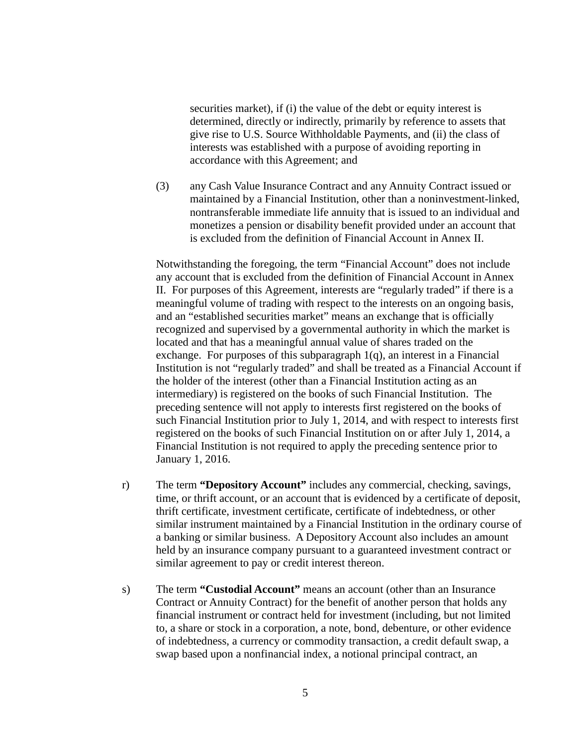securities market), if (i) the value of the debt or equity interest is determined, directly or indirectly, primarily by reference to assets that give rise to U.S. Source Withholdable Payments, and (ii) the class of interests was established with a purpose of avoiding reporting in accordance with this Agreement; and

(3) any Cash Value Insurance Contract and any Annuity Contract issued or maintained by a Financial Institution, other than a noninvestment-linked, nontransferable immediate life annuity that is issued to an individual and monetizes a pension or disability benefit provided under an account that is excluded from the definition of Financial Account in Annex II.

Notwithstanding the foregoing, the term "Financial Account" does not include any account that is excluded from the definition of Financial Account in Annex II. For purposes of this Agreement, interests are "regularly traded" if there is a meaningful volume of trading with respect to the interests on an ongoing basis, and an "established securities market" means an exchange that is officially recognized and supervised by a governmental authority in which the market is located and that has a meaningful annual value of shares traded on the exchange. For purposes of this subparagraph  $1(q)$ , an interest in a Financial Institution is not "regularly traded" and shall be treated as a Financial Account if the holder of the interest (other than a Financial Institution acting as an intermediary) is registered on the books of such Financial Institution. The preceding sentence will not apply to interests first registered on the books of such Financial Institution prior to July 1, 2014, and with respect to interests first registered on the books of such Financial Institution on or after July 1, 2014, a Financial Institution is not required to apply the preceding sentence prior to January 1, 2016.

- r) The term **"Depository Account"** includes any commercial, checking, savings, time, or thrift account, or an account that is evidenced by a certificate of deposit, thrift certificate, investment certificate, certificate of indebtedness, or other similar instrument maintained by a Financial Institution in the ordinary course of a banking or similar business. A Depository Account also includes an amount held by an insurance company pursuant to a guaranteed investment contract or similar agreement to pay or credit interest thereon.
- s) The term **"Custodial Account"** means an account (other than an Insurance Contract or Annuity Contract) for the benefit of another person that holds any financial instrument or contract held for investment (including, but not limited to, a share or stock in a corporation, a note, bond, debenture, or other evidence of indebtedness, a currency or commodity transaction, a credit default swap, a swap based upon a nonfinancial index, a notional principal contract, an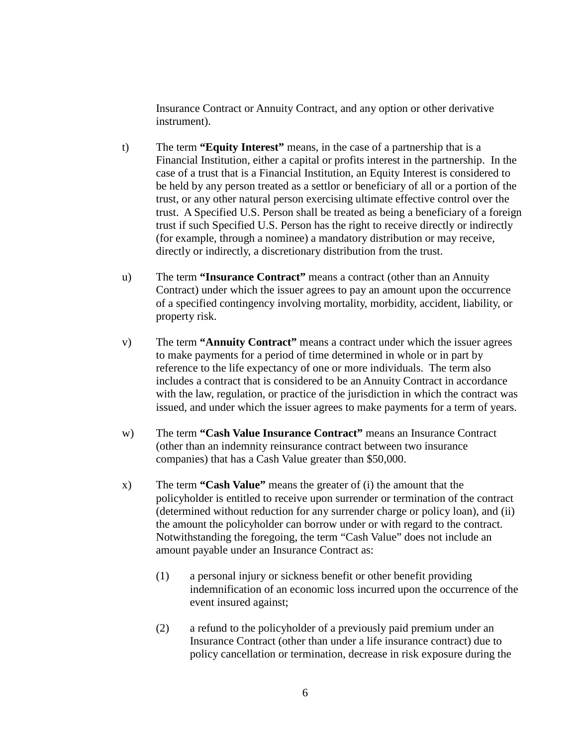Insurance Contract or Annuity Contract, and any option or other derivative instrument).

- t) The term **"Equity Interest"** means, in the case of a partnership that is a Financial Institution, either a capital or profits interest in the partnership. In the case of a trust that is a Financial Institution, an Equity Interest is considered to be held by any person treated as a settlor or beneficiary of all or a portion of the trust, or any other natural person exercising ultimate effective control over the trust. A Specified U.S. Person shall be treated as being a beneficiary of a foreign trust if such Specified U.S. Person has the right to receive directly or indirectly (for example, through a nominee) a mandatory distribution or may receive, directly or indirectly, a discretionary distribution from the trust.
- u) The term **"Insurance Contract"** means a contract (other than an Annuity Contract) under which the issuer agrees to pay an amount upon the occurrence of a specified contingency involving mortality, morbidity, accident, liability, or property risk.
- v) The term **"Annuity Contract"** means a contract under which the issuer agrees to make payments for a period of time determined in whole or in part by reference to the life expectancy of one or more individuals. The term also includes a contract that is considered to be an Annuity Contract in accordance with the law, regulation, or practice of the jurisdiction in which the contract was issued, and under which the issuer agrees to make payments for a term of years.
- w) The term **"Cash Value Insurance Contract"** means an Insurance Contract (other than an indemnity reinsurance contract between two insurance companies) that has a Cash Value greater than \$50,000.
- x) The term **"Cash Value"** means the greater of (i) the amount that the policyholder is entitled to receive upon surrender or termination of the contract (determined without reduction for any surrender charge or policy loan), and (ii) the amount the policyholder can borrow under or with regard to the contract. Notwithstanding the foregoing, the term "Cash Value" does not include an amount payable under an Insurance Contract as:
	- (1) a personal injury or sickness benefit or other benefit providing indemnification of an economic loss incurred upon the occurrence of the event insured against;
	- (2) a refund to the policyholder of a previously paid premium under an Insurance Contract (other than under a life insurance contract) due to policy cancellation or termination, decrease in risk exposure during the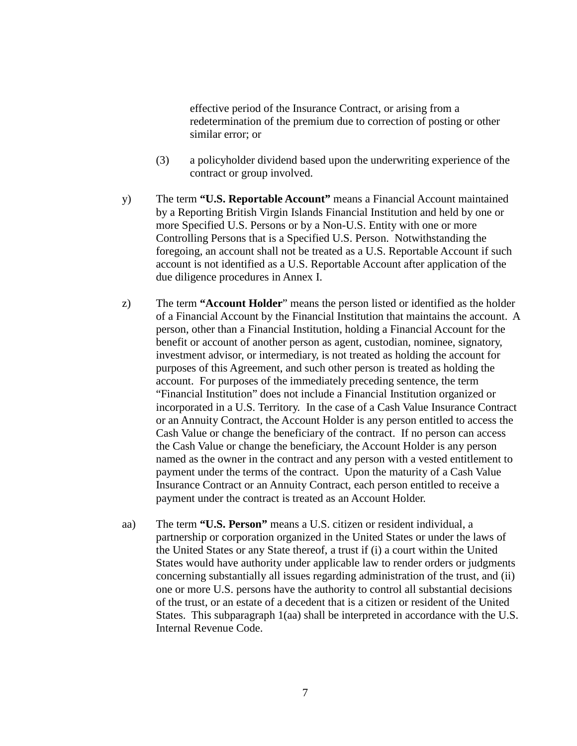effective period of the Insurance Contract, or arising from a redetermination of the premium due to correction of posting or other similar error; or

- (3) a policyholder dividend based upon the underwriting experience of the contract or group involved.
- y) The term **"U.S. Reportable Account"** means a Financial Account maintained by a Reporting British Virgin Islands Financial Institution and held by one or more Specified U.S. Persons or by a Non-U.S. Entity with one or more Controlling Persons that is a Specified U.S. Person. Notwithstanding the foregoing, an account shall not be treated as a U.S. Reportable Account if such account is not identified as a U.S. Reportable Account after application of the due diligence procedures in Annex I.
- z) The term **"Account Holder**" means the person listed or identified as the holder of a Financial Account by the Financial Institution that maintains the account. A person, other than a Financial Institution, holding a Financial Account for the benefit or account of another person as agent, custodian, nominee, signatory, investment advisor, or intermediary, is not treated as holding the account for purposes of this Agreement, and such other person is treated as holding the account. For purposes of the immediately preceding sentence, the term "Financial Institution" does not include a Financial Institution organized or incorporated in a U.S. Territory. In the case of a Cash Value Insurance Contract or an Annuity Contract, the Account Holder is any person entitled to access the Cash Value or change the beneficiary of the contract. If no person can access the Cash Value or change the beneficiary, the Account Holder is any person named as the owner in the contract and any person with a vested entitlement to payment under the terms of the contract. Upon the maturity of a Cash Value Insurance Contract or an Annuity Contract, each person entitled to receive a payment under the contract is treated as an Account Holder.
- aa) The term **"U.S. Person"** means a U.S. citizen or resident individual, a partnership or corporation organized in the United States or under the laws of the United States or any State thereof, a trust if (i) a court within the United States would have authority under applicable law to render orders or judgments concerning substantially all issues regarding administration of the trust, and (ii) one or more U.S. persons have the authority to control all substantial decisions of the trust, or an estate of a decedent that is a citizen or resident of the United States. This subparagraph 1(aa) shall be interpreted in accordance with the U.S. Internal Revenue Code.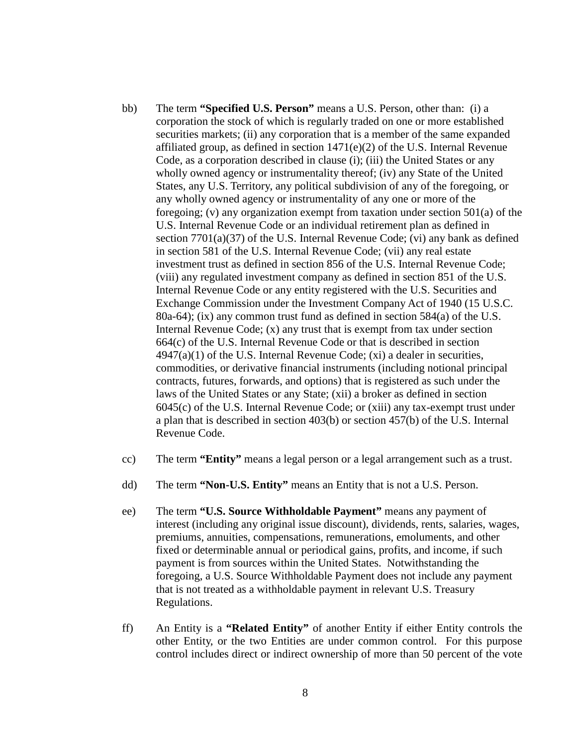- bb) The term **"Specified U.S. Person"** means a U.S. Person, other than: (i) a corporation the stock of which is regularly traded on one or more established securities markets; (ii) any corporation that is a member of the same expanded affiliated group, as defined in section 1471(e)(2) of the U.S. Internal Revenue Code, as a corporation described in clause (i); (iii) the United States or any wholly owned agency or instrumentality thereof; (iv) any State of the United States, any U.S. Territory, any political subdivision of any of the foregoing, or any wholly owned agency or instrumentality of any one or more of the foregoing; (v) any organization exempt from taxation under section 501(a) of the U.S. Internal Revenue Code or an individual retirement plan as defined in section 7701(a)(37) of the U.S. Internal Revenue Code; (vi) any bank as defined in section 581 of the U.S. Internal Revenue Code; (vii) any real estate investment trust as defined in section 856 of the U.S. Internal Revenue Code; (viii) any regulated investment company as defined in section 851 of the U.S. Internal Revenue Code or any entity registered with the U.S. Securities and Exchange Commission under the Investment Company Act of 1940 (15 U.S.C. 80a-64); (ix) any common trust fund as defined in section 584(a) of the U.S. Internal Revenue Code; (x) any trust that is exempt from tax under section 664(c) of the U.S. Internal Revenue Code or that is described in section  $4947(a)(1)$  of the U.S. Internal Revenue Code; (xi) a dealer in securities, commodities, or derivative financial instruments (including notional principal contracts, futures, forwards, and options) that is registered as such under the laws of the United States or any State; (xii) a broker as defined in section 6045(c) of the U.S. Internal Revenue Code; or (xiii) any tax-exempt trust under a plan that is described in section 403(b) or section 457(b) of the U.S. Internal Revenue Code.
- cc) The term **"Entity"** means a legal person or a legal arrangement such as a trust.
- dd) The term **"Non-U.S. Entity"** means an Entity that is not a U.S. Person.
- ee) The term **"U.S. Source Withholdable Payment"** means any payment of interest (including any original issue discount), dividends, rents, salaries, wages, premiums, annuities, compensations, remunerations, emoluments, and other fixed or determinable annual or periodical gains, profits, and income, if such payment is from sources within the United States. Notwithstanding the foregoing, a U.S. Source Withholdable Payment does not include any payment that is not treated as a withholdable payment in relevant U.S. Treasury Regulations.
- ff) An Entity is a **"Related Entity"** of another Entity if either Entity controls the other Entity, or the two Entities are under common control. For this purpose control includes direct or indirect ownership of more than 50 percent of the vote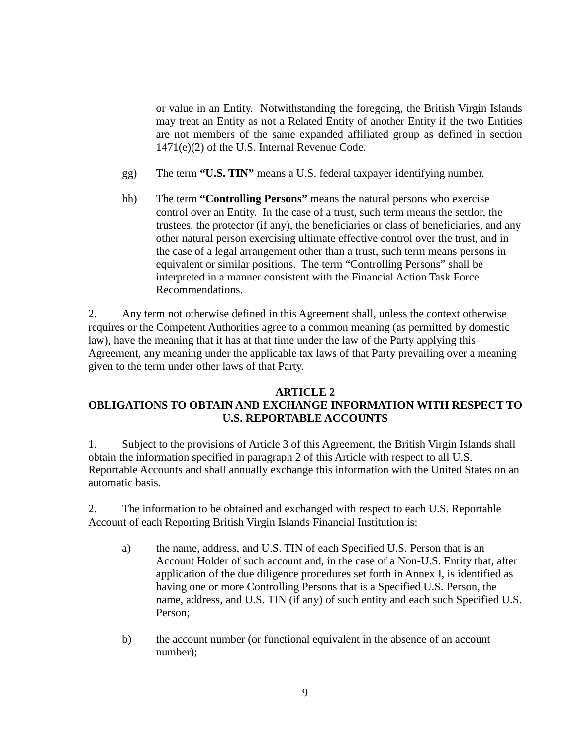or value in an Entity. Notwithstanding the foregoing, the British Virgin Islands may treat an Entity as not a Related Entity of another Entity if the two Entities are not members of the same expanded affiliated group as defined in section 1471(e)(2) of the U.S. Internal Revenue Code.

- gg) The term **"U.S. TIN"** means a U.S. federal taxpayer identifying number.
- hh) The term **"Controlling Persons"** means the natural persons who exercise control over an Entity. In the case of a trust, such term means the settlor, the trustees, the protector (if any), the beneficiaries or class of beneficiaries, and any other natural person exercising ultimate effective control over the trust, and in the case of a legal arrangement other than a trust, such term means persons in equivalent or similar positions. The term "Controlling Persons" shall be interpreted in a manner consistent with the Financial Action Task Force Recommendations.

2. Any term not otherwise defined in this Agreement shall, unless the context otherwise requires or the Competent Authorities agree to a common meaning (as permitted by domestic law), have the meaning that it has at that time under the law of the Party applying this Agreement, any meaning under the applicable tax laws of that Party prevailing over a meaning given to the term under other laws of that Party.

#### **ARTICLE 2**

# **OBLIGATIONS TO OBTAIN AND EXCHANGE INFORMATION WITH RESPECT TO U.S. REPORTABLE ACCOUNTS**

1. Subject to the provisions of Article 3 of this Agreement, the British Virgin Islands shall obtain the information specified in paragraph 2 of this Article with respect to all U.S. Reportable Accounts and shall annually exchange this information with the United States on an automatic basis.

2. The information to be obtained and exchanged with respect to each U.S. Reportable Account of each Reporting British Virgin Islands Financial Institution is:

- a) the name, address, and U.S. TIN of each Specified U.S. Person that is an Account Holder of such account and, in the case of a Non-U.S. Entity that, after application of the due diligence procedures set forth in Annex I, is identified as having one or more Controlling Persons that is a Specified U.S. Person, the name, address, and U.S. TIN (if any) of such entity and each such Specified U.S. Person;
- b) the account number (or functional equivalent in the absence of an account number);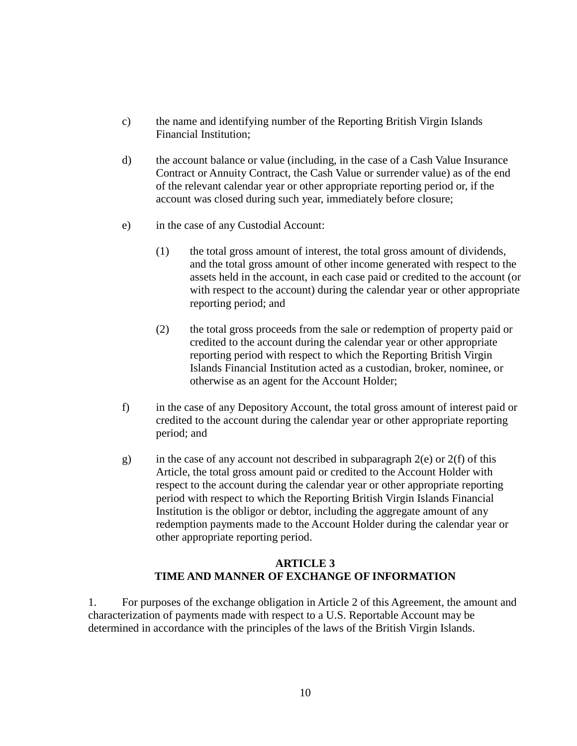- c) the name and identifying number of the Reporting British Virgin Islands Financial Institution;
- d) the account balance or value (including, in the case of a Cash Value Insurance Contract or Annuity Contract, the Cash Value or surrender value) as of the end of the relevant calendar year or other appropriate reporting period or, if the account was closed during such year, immediately before closure;
- e) in the case of any Custodial Account:
	- (1) the total gross amount of interest, the total gross amount of dividends, and the total gross amount of other income generated with respect to the assets held in the account, in each case paid or credited to the account (or with respect to the account) during the calendar year or other appropriate reporting period; and
	- (2) the total gross proceeds from the sale or redemption of property paid or credited to the account during the calendar year or other appropriate reporting period with respect to which the Reporting British Virgin Islands Financial Institution acted as a custodian, broker, nominee, or otherwise as an agent for the Account Holder;
- f) in the case of any Depository Account, the total gross amount of interest paid or credited to the account during the calendar year or other appropriate reporting period; and
- g) in the case of any account not described in subparagraph  $2(e)$  or  $2(f)$  of this Article, the total gross amount paid or credited to the Account Holder with respect to the account during the calendar year or other appropriate reporting period with respect to which the Reporting British Virgin Islands Financial Institution is the obligor or debtor, including the aggregate amount of any redemption payments made to the Account Holder during the calendar year or other appropriate reporting period.

#### **ARTICLE 3 TIME AND MANNER OF EXCHANGE OF INFORMATION**

1. For purposes of the exchange obligation in Article 2 of this Agreement, the amount and characterization of payments made with respect to a U.S. Reportable Account may be determined in accordance with the principles of the laws of the British Virgin Islands.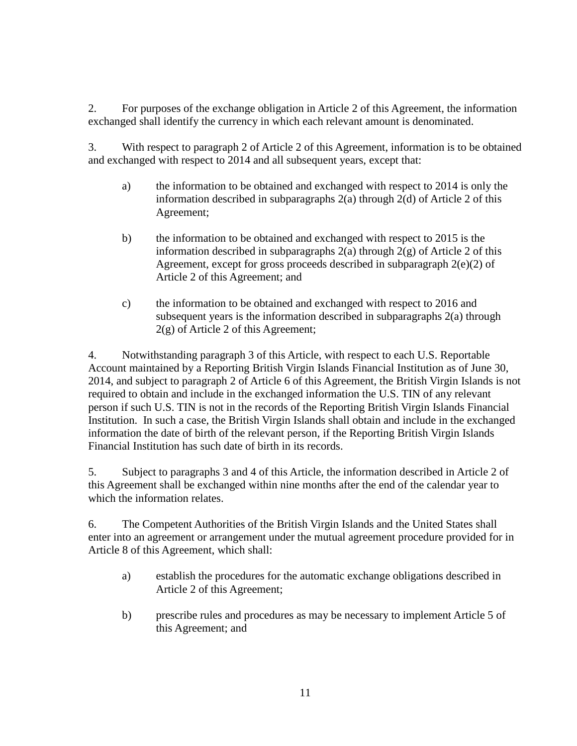2. For purposes of the exchange obligation in Article 2 of this Agreement, the information exchanged shall identify the currency in which each relevant amount is denominated.

3. With respect to paragraph 2 of Article 2 of this Agreement, information is to be obtained and exchanged with respect to 2014 and all subsequent years, except that:

- a) the information to be obtained and exchanged with respect to 2014 is only the information described in subparagraphs 2(a) through 2(d) of Article 2 of this Agreement;
- b) the information to be obtained and exchanged with respect to 2015 is the information described in subparagraphs  $2(a)$  through  $2(g)$  of Article 2 of this Agreement, except for gross proceeds described in subparagraph  $2(e)(2)$  of Article 2 of this Agreement; and
- c) the information to be obtained and exchanged with respect to 2016 and subsequent years is the information described in subparagraphs  $2(a)$  through 2(g) of Article 2 of this Agreement;

4. Notwithstanding paragraph 3 of this Article, with respect to each U.S. Reportable Account maintained by a Reporting British Virgin Islands Financial Institution as of June 30, 2014, and subject to paragraph 2 of Article 6 of this Agreement, the British Virgin Islands is not required to obtain and include in the exchanged information the U.S. TIN of any relevant person if such U.S. TIN is not in the records of the Reporting British Virgin Islands Financial Institution. In such a case, the British Virgin Islands shall obtain and include in the exchanged information the date of birth of the relevant person, if the Reporting British Virgin Islands Financial Institution has such date of birth in its records.

5. Subject to paragraphs 3 and 4 of this Article, the information described in Article 2 of this Agreement shall be exchanged within nine months after the end of the calendar year to which the information relates.

6. The Competent Authorities of the British Virgin Islands and the United States shall enter into an agreement or arrangement under the mutual agreement procedure provided for in Article 8 of this Agreement, which shall:

- a) establish the procedures for the automatic exchange obligations described in Article 2 of this Agreement;
- b) prescribe rules and procedures as may be necessary to implement Article 5 of this Agreement; and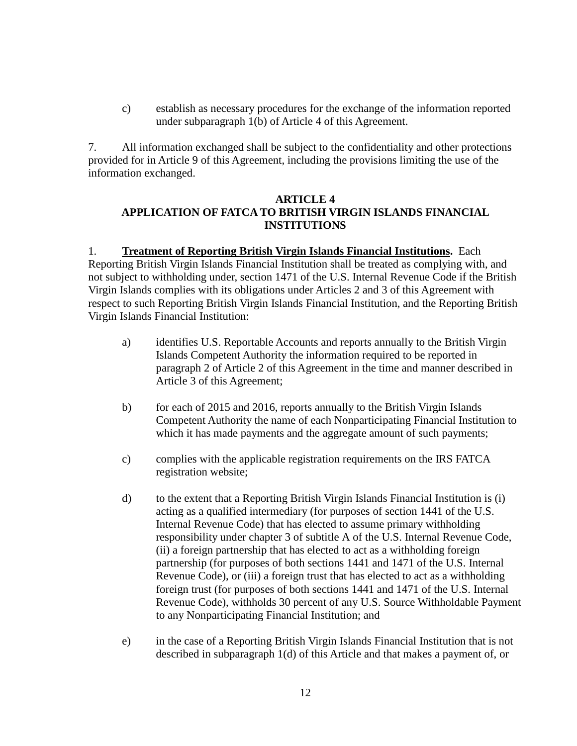c) establish as necessary procedures for the exchange of the information reported under subparagraph 1(b) of Article 4 of this Agreement.

7. All information exchanged shall be subject to the confidentiality and other protections provided for in Article 9 of this Agreement, including the provisions limiting the use of the information exchanged.

## **ARTICLE 4 APPLICATION OF FATCA TO BRITISH VIRGIN ISLANDS FINANCIAL INSTITUTIONS**

1. **Treatment of Reporting British Virgin Islands Financial Institutions.** Each Reporting British Virgin Islands Financial Institution shall be treated as complying with, and not subject to withholding under, section 1471 of the U.S. Internal Revenue Code if the British Virgin Islands complies with its obligations under Articles 2 and 3 of this Agreement with respect to such Reporting British Virgin Islands Financial Institution, and the Reporting British Virgin Islands Financial Institution:

- a) identifies U.S. Reportable Accounts and reports annually to the British Virgin Islands Competent Authority the information required to be reported in paragraph 2 of Article 2 of this Agreement in the time and manner described in Article 3 of this Agreement;
- b) for each of 2015 and 2016, reports annually to the British Virgin Islands Competent Authority the name of each Nonparticipating Financial Institution to which it has made payments and the aggregate amount of such payments;
- c) complies with the applicable registration requirements on the IRS FATCA registration website;
- d) to the extent that a Reporting British Virgin Islands Financial Institution is (i) acting as a qualified intermediary (for purposes of section 1441 of the U.S. Internal Revenue Code) that has elected to assume primary withholding responsibility under chapter 3 of subtitle A of the U.S. Internal Revenue Code, (ii) a foreign partnership that has elected to act as a withholding foreign partnership (for purposes of both sections 1441 and 1471 of the U.S. Internal Revenue Code), or (iii) a foreign trust that has elected to act as a withholding foreign trust (for purposes of both sections 1441 and 1471 of the U.S. Internal Revenue Code), withholds 30 percent of any U.S. Source Withholdable Payment to any Nonparticipating Financial Institution; and
- e) in the case of a Reporting British Virgin Islands Financial Institution that is not described in subparagraph 1(d) of this Article and that makes a payment of, or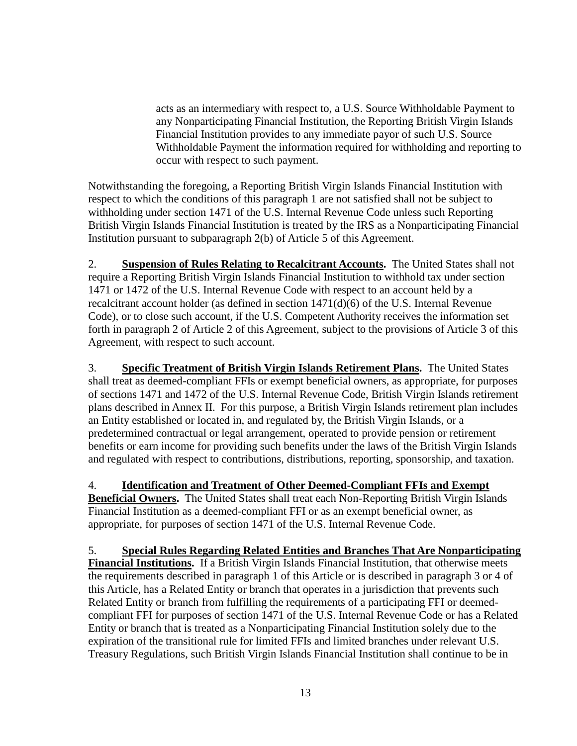acts as an intermediary with respect to, a U.S. Source Withholdable Payment to any Nonparticipating Financial Institution, the Reporting British Virgin Islands Financial Institution provides to any immediate payor of such U.S. Source Withholdable Payment the information required for withholding and reporting to occur with respect to such payment.

Notwithstanding the foregoing, a Reporting British Virgin Islands Financial Institution with respect to which the conditions of this paragraph 1 are not satisfied shall not be subject to withholding under section 1471 of the U.S. Internal Revenue Code unless such Reporting British Virgin Islands Financial Institution is treated by the IRS as a Nonparticipating Financial Institution pursuant to subparagraph 2(b) of Article 5 of this Agreement.

2. **Suspension of Rules Relating to Recalcitrant Accounts.** The United States shall not require a Reporting British Virgin Islands Financial Institution to withhold tax under section 1471 or 1472 of the U.S. Internal Revenue Code with respect to an account held by a recalcitrant account holder (as defined in section 1471(d)(6) of the U.S. Internal Revenue Code), or to close such account, if the U.S. Competent Authority receives the information set forth in paragraph 2 of Article 2 of this Agreement, subject to the provisions of Article 3 of this Agreement, with respect to such account.

3. **Specific Treatment of British Virgin Islands Retirement Plans.** The United States shall treat as deemed-compliant FFIs or exempt beneficial owners, as appropriate, for purposes of sections 1471 and 1472 of the U.S. Internal Revenue Code, British Virgin Islands retirement plans described in Annex II. For this purpose, a British Virgin Islands retirement plan includes an Entity established or located in, and regulated by, the British Virgin Islands, or a predetermined contractual or legal arrangement, operated to provide pension or retirement benefits or earn income for providing such benefits under the laws of the British Virgin Islands and regulated with respect to contributions, distributions, reporting, sponsorship, and taxation.

4. **Identification and Treatment of Other Deemed-Compliant FFIs and Exempt Beneficial Owners.** The United States shall treat each Non-Reporting British Virgin Islands Financial Institution as a deemed-compliant FFI or as an exempt beneficial owner, as appropriate, for purposes of section 1471 of the U.S. Internal Revenue Code.

5. **Special Rules Regarding Related Entities and Branches That Are Nonparticipating Financial Institutions.** If a British Virgin Islands Financial Institution, that otherwise meets the requirements described in paragraph 1 of this Article or is described in paragraph 3 or 4 of this Article, has a Related Entity or branch that operates in a jurisdiction that prevents such Related Entity or branch from fulfilling the requirements of a participating FFI or deemedcompliant FFI for purposes of section 1471 of the U.S. Internal Revenue Code or has a Related Entity or branch that is treated as a Nonparticipating Financial Institution solely due to the expiration of the transitional rule for limited FFIs and limited branches under relevant U.S. Treasury Regulations, such British Virgin Islands Financial Institution shall continue to be in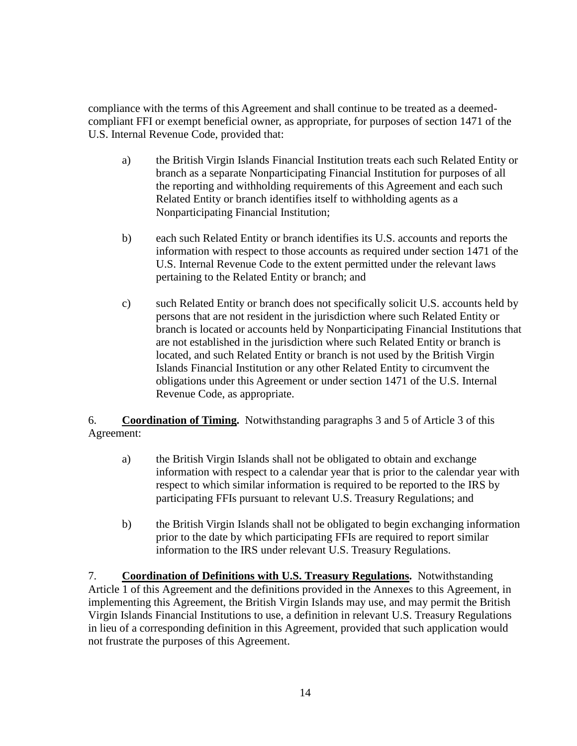compliance with the terms of this Agreement and shall continue to be treated as a deemedcompliant FFI or exempt beneficial owner, as appropriate, for purposes of section 1471 of the U.S. Internal Revenue Code, provided that:

- a) the British Virgin Islands Financial Institution treats each such Related Entity or branch as a separate Nonparticipating Financial Institution for purposes of all the reporting and withholding requirements of this Agreement and each such Related Entity or branch identifies itself to withholding agents as a Nonparticipating Financial Institution;
- b) each such Related Entity or branch identifies its U.S. accounts and reports the information with respect to those accounts as required under section 1471 of the U.S. Internal Revenue Code to the extent permitted under the relevant laws pertaining to the Related Entity or branch; and
- c) such Related Entity or branch does not specifically solicit U.S. accounts held by persons that are not resident in the jurisdiction where such Related Entity or branch is located or accounts held by Nonparticipating Financial Institutions that are not established in the jurisdiction where such Related Entity or branch is located, and such Related Entity or branch is not used by the British Virgin Islands Financial Institution or any other Related Entity to circumvent the obligations under this Agreement or under section 1471 of the U.S. Internal Revenue Code, as appropriate.

6. **Coordination of Timing.** Notwithstanding paragraphs 3 and 5 of Article 3 of this Agreement:

- a) the British Virgin Islands shall not be obligated to obtain and exchange information with respect to a calendar year that is prior to the calendar year with respect to which similar information is required to be reported to the IRS by participating FFIs pursuant to relevant U.S. Treasury Regulations; and
- b) the British Virgin Islands shall not be obligated to begin exchanging information prior to the date by which participating FFIs are required to report similar information to the IRS under relevant U.S. Treasury Regulations.

7. **Coordination of Definitions with U.S. Treasury Regulations.** Notwithstanding Article 1 of this Agreement and the definitions provided in the Annexes to this Agreement, in implementing this Agreement, the British Virgin Islands may use, and may permit the British Virgin Islands Financial Institutions to use, a definition in relevant U.S. Treasury Regulations in lieu of a corresponding definition in this Agreement, provided that such application would not frustrate the purposes of this Agreement.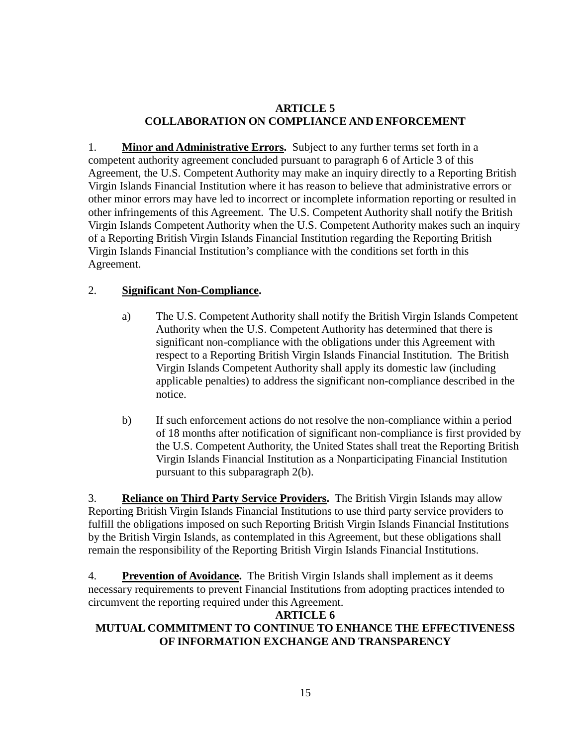## **ARTICLE 5 COLLABORATION ON COMPLIANCE AND ENFORCEMENT**

1. **Minor and Administrative Errors.** Subject to any further terms set forth in a competent authority agreement concluded pursuant to paragraph 6 of Article 3 of this Agreement, the U.S. Competent Authority may make an inquiry directly to a Reporting British Virgin Islands Financial Institution where it has reason to believe that administrative errors or other minor errors may have led to incorrect or incomplete information reporting or resulted in other infringements of this Agreement. The U.S. Competent Authority shall notify the British Virgin Islands Competent Authority when the U.S. Competent Authority makes such an inquiry of a Reporting British Virgin Islands Financial Institution regarding the Reporting British Virgin Islands Financial Institution's compliance with the conditions set forth in this Agreement.

## 2. **Significant Non-Compliance.**

- a) The U.S. Competent Authority shall notify the British Virgin Islands Competent Authority when the U.S. Competent Authority has determined that there is significant non-compliance with the obligations under this Agreement with respect to a Reporting British Virgin Islands Financial Institution. The British Virgin Islands Competent Authority shall apply its domestic law (including applicable penalties) to address the significant non-compliance described in the notice.
- b) If such enforcement actions do not resolve the non-compliance within a period of 18 months after notification of significant non-compliance is first provided by the U.S. Competent Authority, the United States shall treat the Reporting British Virgin Islands Financial Institution as a Nonparticipating Financial Institution pursuant to this subparagraph 2(b).

3. **Reliance on Third Party Service Providers.** The British Virgin Islands may allow Reporting British Virgin Islands Financial Institutions to use third party service providers to fulfill the obligations imposed on such Reporting British Virgin Islands Financial Institutions by the British Virgin Islands, as contemplated in this Agreement, but these obligations shall remain the responsibility of the Reporting British Virgin Islands Financial Institutions.

4. **Prevention of Avoidance.** The British Virgin Islands shall implement as it deems necessary requirements to prevent Financial Institutions from adopting practices intended to circumvent the reporting required under this Agreement.

## **ARTICLE 6**

# **MUTUAL COMMITMENT TO CONTINUE TO ENHANCE THE EFFECTIVENESS OF INFORMATION EXCHANGE AND TRANSPARENCY**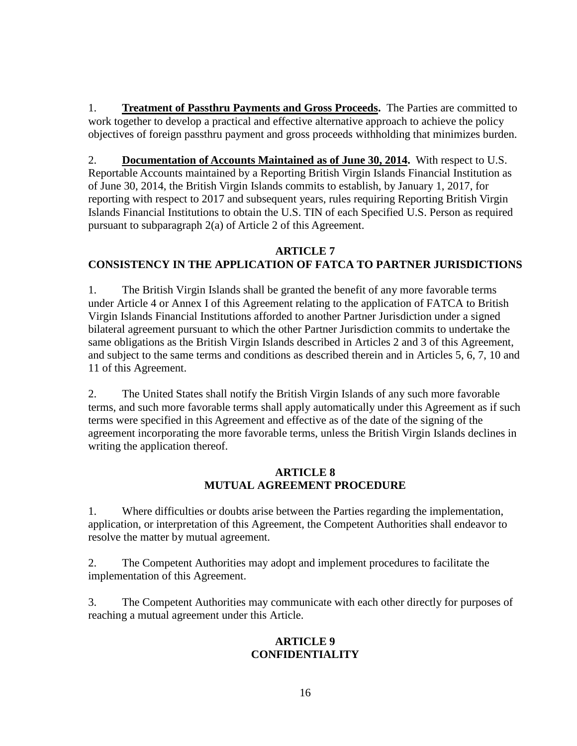1. **Treatment of Passthru Payments and Gross Proceeds.** The Parties are committed to work together to develop a practical and effective alternative approach to achieve the policy objectives of foreign passthru payment and gross proceeds withholding that minimizes burden.

2. **Documentation of Accounts Maintained as of June 30, 2014.** With respect to U.S. Reportable Accounts maintained by a Reporting British Virgin Islands Financial Institution as of June 30, 2014, the British Virgin Islands commits to establish, by January 1, 2017, for reporting with respect to 2017 and subsequent years, rules requiring Reporting British Virgin Islands Financial Institutions to obtain the U.S. TIN of each Specified U.S. Person as required pursuant to subparagraph 2(a) of Article 2 of this Agreement.

## **ARTICLE 7**

# **CONSISTENCY IN THE APPLICATION OF FATCA TO PARTNER JURISDICTIONS**

1. The British Virgin Islands shall be granted the benefit of any more favorable terms under Article 4 or Annex I of this Agreement relating to the application of FATCA to British Virgin Islands Financial Institutions afforded to another Partner Jurisdiction under a signed bilateral agreement pursuant to which the other Partner Jurisdiction commits to undertake the same obligations as the British Virgin Islands described in Articles 2 and 3 of this Agreement, and subject to the same terms and conditions as described therein and in Articles 5, 6, 7, 10 and 11 of this Agreement.

2. The United States shall notify the British Virgin Islands of any such more favorable terms, and such more favorable terms shall apply automatically under this Agreement as if such terms were specified in this Agreement and effective as of the date of the signing of the agreement incorporating the more favorable terms, unless the British Virgin Islands declines in writing the application thereof.

### **ARTICLE 8 MUTUAL AGREEMENT PROCEDURE**

1. Where difficulties or doubts arise between the Parties regarding the implementation, application, or interpretation of this Agreement, the Competent Authorities shall endeavor to resolve the matter by mutual agreement.

2. The Competent Authorities may adopt and implement procedures to facilitate the implementation of this Agreement.

3. The Competent Authorities may communicate with each other directly for purposes of reaching a mutual agreement under this Article.

### **ARTICLE 9 CONFIDENTIALITY**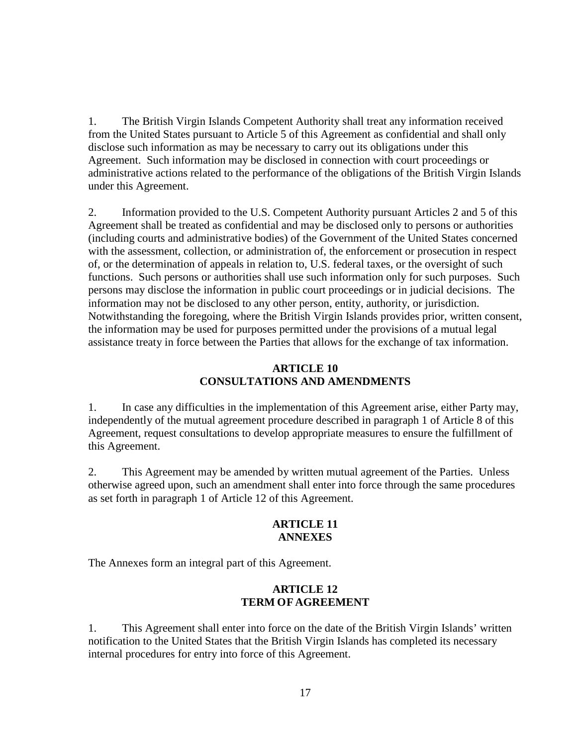1. The British Virgin Islands Competent Authority shall treat any information received from the United States pursuant to Article 5 of this Agreement as confidential and shall only disclose such information as may be necessary to carry out its obligations under this Agreement. Such information may be disclosed in connection with court proceedings or administrative actions related to the performance of the obligations of the British Virgin Islands under this Agreement.

2. Information provided to the U.S. Competent Authority pursuant Articles 2 and 5 of this Agreement shall be treated as confidential and may be disclosed only to persons or authorities (including courts and administrative bodies) of the Government of the United States concerned with the assessment, collection, or administration of, the enforcement or prosecution in respect of, or the determination of appeals in relation to, U.S. federal taxes, or the oversight of such functions. Such persons or authorities shall use such information only for such purposes. Such persons may disclose the information in public court proceedings or in judicial decisions. The information may not be disclosed to any other person, entity, authority, or jurisdiction. Notwithstanding the foregoing, where the British Virgin Islands provides prior, written consent, the information may be used for purposes permitted under the provisions of a mutual legal assistance treaty in force between the Parties that allows for the exchange of tax information.

## **ARTICLE 10 CONSULTATIONS AND AMENDMENTS**

1. In case any difficulties in the implementation of this Agreement arise, either Party may, independently of the mutual agreement procedure described in paragraph 1 of Article 8 of this Agreement, request consultations to develop appropriate measures to ensure the fulfillment of this Agreement.

2. This Agreement may be amended by written mutual agreement of the Parties. Unless otherwise agreed upon, such an amendment shall enter into force through the same procedures as set forth in paragraph 1 of Article 12 of this Agreement.

## **ARTICLE 11 ANNEXES**

The Annexes form an integral part of this Agreement.

#### **ARTICLE 12 TERM OF AGREEMENT**

1. This Agreement shall enter into force on the date of the British Virgin Islands' written notification to the United States that the British Virgin Islands has completed its necessary internal procedures for entry into force of this Agreement.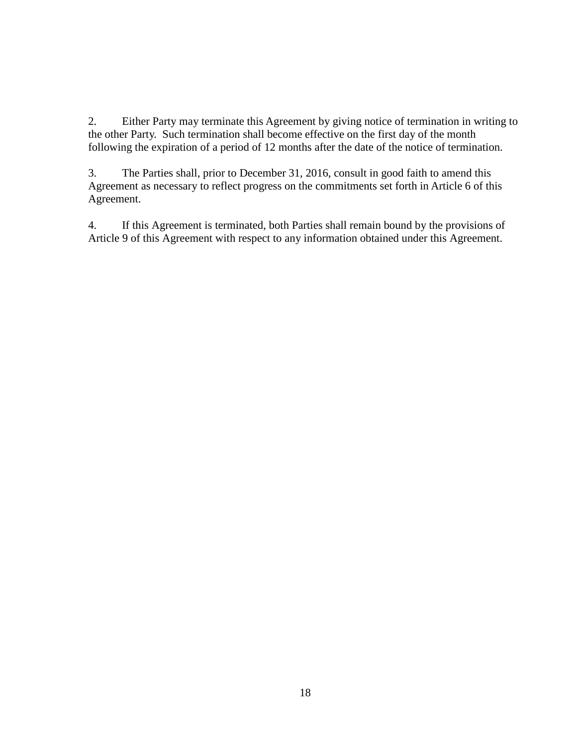2. Either Party may terminate this Agreement by giving notice of termination in writing to the other Party. Such termination shall become effective on the first day of the month following the expiration of a period of 12 months after the date of the notice of termination.

3. The Parties shall, prior to December 31, 2016, consult in good faith to amend this Agreement as necessary to reflect progress on the commitments set forth in Article 6 of this Agreement.

4. If this Agreement is terminated, both Parties shall remain bound by the provisions of Article 9 of this Agreement with respect to any information obtained under this Agreement.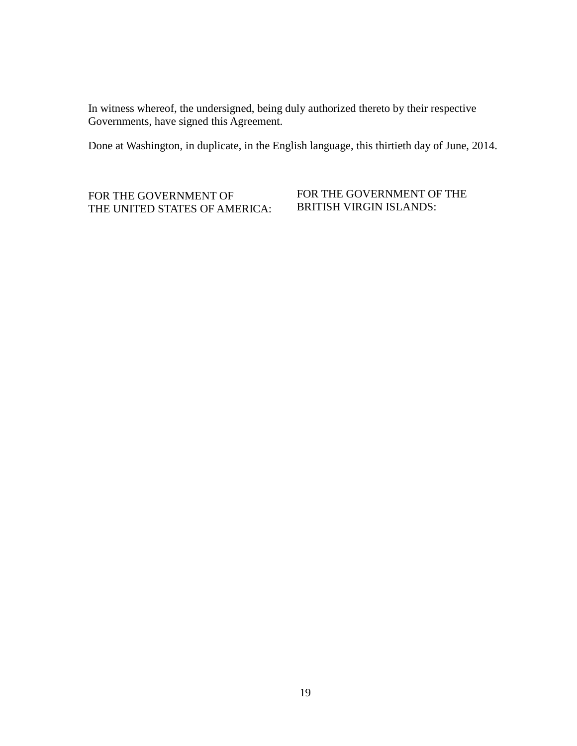In witness whereof, the undersigned, being duly authorized thereto by their respective Governments, have signed this Agreement.

Done at Washington, in duplicate, in the English language, this thirtieth day of June, 2014.

FOR THE GOVERNMENT OF THE UNITED STATES OF AMERICA: FOR THE GOVERNMENT OF THE BRITISH VIRGIN ISLANDS: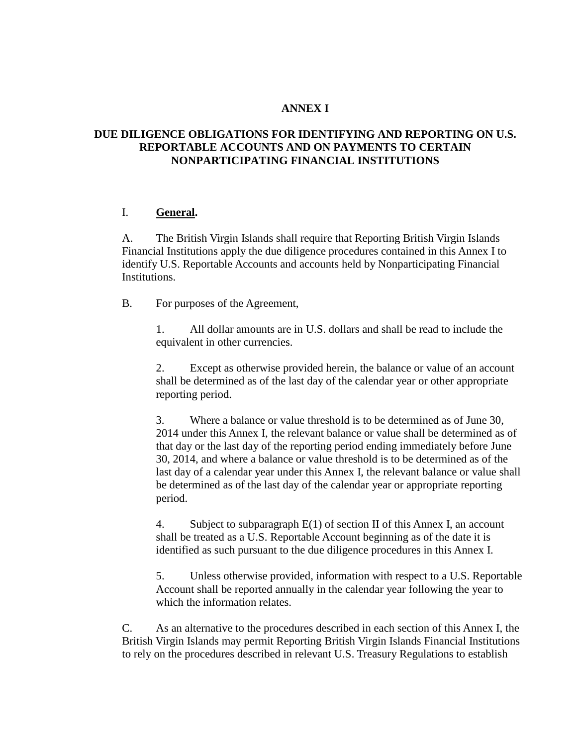### **ANNEX I**

#### **DUE DILIGENCE OBLIGATIONS FOR IDENTIFYING AND REPORTING ON U.S. REPORTABLE ACCOUNTS AND ON PAYMENTS TO CERTAIN NONPARTICIPATING FINANCIAL INSTITUTIONS**

### I. **General.**

A. The British Virgin Islands shall require that Reporting British Virgin Islands Financial Institutions apply the due diligence procedures contained in this Annex I to identify U.S. Reportable Accounts and accounts held by Nonparticipating Financial Institutions.

B. For purposes of the Agreement,

1. All dollar amounts are in U.S. dollars and shall be read to include the equivalent in other currencies.

2. Except as otherwise provided herein, the balance or value of an account shall be determined as of the last day of the calendar year or other appropriate reporting period.

3. Where a balance or value threshold is to be determined as of June 30, 2014 under this Annex I, the relevant balance or value shall be determined as of that day or the last day of the reporting period ending immediately before June 30, 2014, and where a balance or value threshold is to be determined as of the last day of a calendar year under this Annex I, the relevant balance or value shall be determined as of the last day of the calendar year or appropriate reporting period.

4. Subject to subparagraph E(1) of section II of this Annex I, an account shall be treated as a U.S. Reportable Account beginning as of the date it is identified as such pursuant to the due diligence procedures in this Annex I.

5. Unless otherwise provided, information with respect to a U.S. Reportable Account shall be reported annually in the calendar year following the year to which the information relates.

C. As an alternative to the procedures described in each section of this Annex I, the British Virgin Islands may permit Reporting British Virgin Islands Financial Institutions to rely on the procedures described in relevant U.S. Treasury Regulations to establish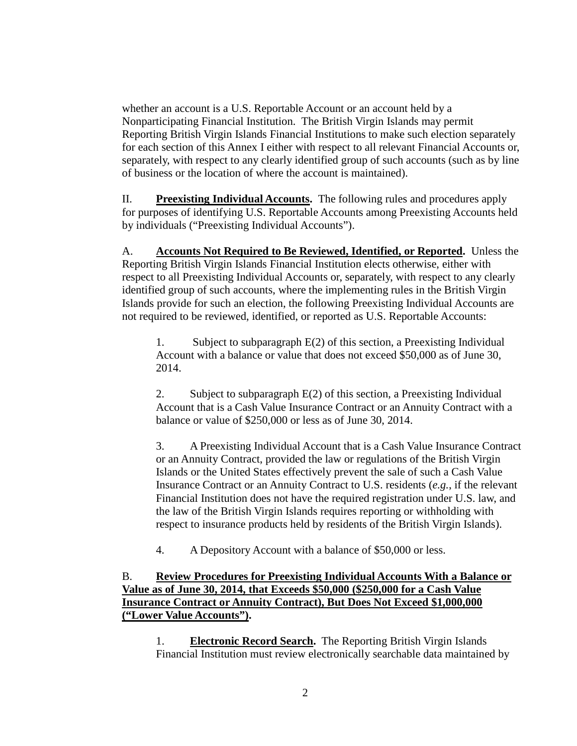whether an account is a U.S. Reportable Account or an account held by a Nonparticipating Financial Institution. The British Virgin Islands may permit Reporting British Virgin Islands Financial Institutions to make such election separately for each section of this Annex I either with respect to all relevant Financial Accounts or, separately, with respect to any clearly identified group of such accounts (such as by line of business or the location of where the account is maintained).

II. **Preexisting Individual Accounts.** The following rules and procedures apply for purposes of identifying U.S. Reportable Accounts among Preexisting Accounts held by individuals ("Preexisting Individual Accounts").

A. **Accounts Not Required to Be Reviewed, Identified, or Reported.** Unless the Reporting British Virgin Islands Financial Institution elects otherwise, either with respect to all Preexisting Individual Accounts or, separately, with respect to any clearly identified group of such accounts, where the implementing rules in the British Virgin Islands provide for such an election, the following Preexisting Individual Accounts are not required to be reviewed, identified, or reported as U.S. Reportable Accounts:

1. Subject to subparagraph E(2) of this section, a Preexisting Individual Account with a balance or value that does not exceed \$50,000 as of June 30, 2014.

2. Subject to subparagraph E(2) of this section, a Preexisting Individual Account that is a Cash Value Insurance Contract or an Annuity Contract with a balance or value of \$250,000 or less as of June 30, 2014.

3. A Preexisting Individual Account that is a Cash Value Insurance Contract or an Annuity Contract, provided the law or regulations of the British Virgin Islands or the United States effectively prevent the sale of such a Cash Value Insurance Contract or an Annuity Contract to U.S. residents (*e.g.*, if the relevant Financial Institution does not have the required registration under U.S. law, and the law of the British Virgin Islands requires reporting or withholding with respect to insurance products held by residents of the British Virgin Islands).

4. A Depository Account with a balance of \$50,000 or less.

## B. **Review Procedures for Preexisting Individual Accounts With a Balance or Value as of June 30, 2014, that Exceeds \$50,000 (\$250,000 for a Cash Value Insurance Contract or Annuity Contract), But Does Not Exceed \$1,000,000 ("Lower Value Accounts").**

1. **Electronic Record Search.** The Reporting British Virgin Islands Financial Institution must review electronically searchable data maintained by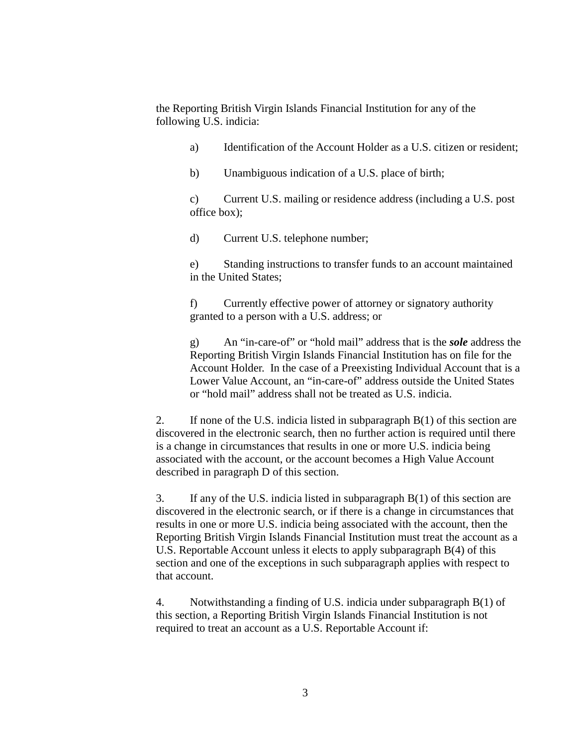the Reporting British Virgin Islands Financial Institution for any of the following U.S. indicia:

a) Identification of the Account Holder as a U.S. citizen or resident;

b) Unambiguous indication of a U.S. place of birth;

c) Current U.S. mailing or residence address (including a U.S. post office box);

d) Current U.S. telephone number;

e) Standing instructions to transfer funds to an account maintained in the United States;

f) Currently effective power of attorney or signatory authority granted to a person with a U.S. address; or

g) An "in-care-of" or "hold mail" address that is the *sole* address the Reporting British Virgin Islands Financial Institution has on file for the Account Holder. In the case of a Preexisting Individual Account that is a Lower Value Account, an "in-care-of" address outside the United States or "hold mail" address shall not be treated as U.S. indicia.

2. If none of the U.S. indicia listed in subparagraph B(1) of this section are discovered in the electronic search, then no further action is required until there is a change in circumstances that results in one or more U.S. indicia being associated with the account, or the account becomes a High Value Account described in paragraph D of this section.

3. If any of the U.S. indicia listed in subparagraph B(1) of this section are discovered in the electronic search, or if there is a change in circumstances that results in one or more U.S. indicia being associated with the account, then the Reporting British Virgin Islands Financial Institution must treat the account as a U.S. Reportable Account unless it elects to apply subparagraph B(4) of this section and one of the exceptions in such subparagraph applies with respect to that account.

4. Notwithstanding a finding of U.S. indicia under subparagraph B(1) of this section, a Reporting British Virgin Islands Financial Institution is not required to treat an account as a U.S. Reportable Account if: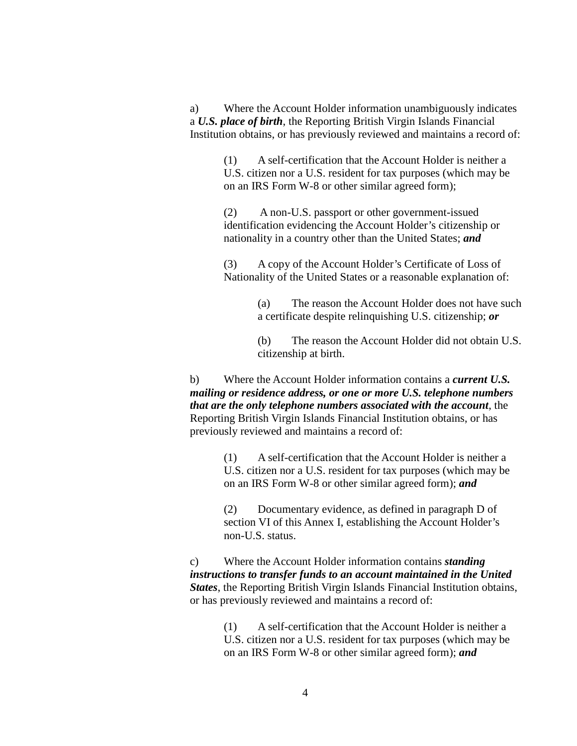a) Where the Account Holder information unambiguously indicates a *U.S. place of birth*, the Reporting British Virgin Islands Financial Institution obtains, or has previously reviewed and maintains a record of:

> (1) A self-certification that the Account Holder is neither a U.S. citizen nor a U.S. resident for tax purposes (which may be on an IRS Form W-8 or other similar agreed form);

(2) A non-U.S. passport or other government-issued identification evidencing the Account Holder's citizenship or nationality in a country other than the United States; *and*

(3) A copy of the Account Holder's Certificate of Loss of Nationality of the United States or a reasonable explanation of:

> (a) The reason the Account Holder does not have such a certificate despite relinquishing U.S. citizenship; *or*

> (b) The reason the Account Holder did not obtain U.S. citizenship at birth.

b) Where the Account Holder information contains a *current U.S. mailing or residence address, or one or more U.S. telephone numbers that are the only telephone numbers associated with the account*, the Reporting British Virgin Islands Financial Institution obtains, or has previously reviewed and maintains a record of:

> (1) A self-certification that the Account Holder is neither a U.S. citizen nor a U.S. resident for tax purposes (which may be on an IRS Form W-8 or other similar agreed form); *and*

(2) Documentary evidence, as defined in paragraph D of section VI of this Annex I, establishing the Account Holder's non-U.S. status.

c) Where the Account Holder information contains *standing instructions to transfer funds to an account maintained in the United States*, the Reporting British Virgin Islands Financial Institution obtains, or has previously reviewed and maintains a record of:

> (1) A self-certification that the Account Holder is neither a U.S. citizen nor a U.S. resident for tax purposes (which may be on an IRS Form W-8 or other similar agreed form); *and*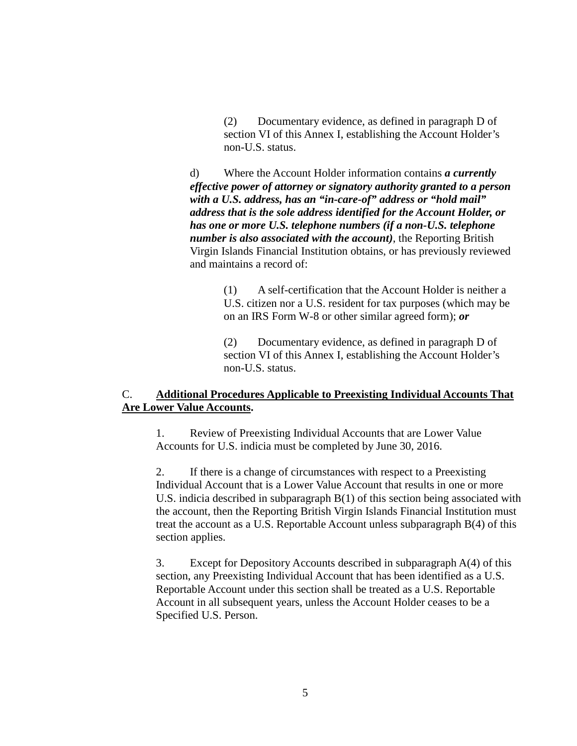(2) Documentary evidence, as defined in paragraph D of section VI of this Annex I, establishing the Account Holder's non-U.S. status.

d) Where the Account Holder information contains *a currently effective power of attorney or signatory authority granted to a person with a U.S. address, has an "in-care-of" address or "hold mail" address that is the sole address identified for the Account Holder, or has one or more U.S. telephone numbers (if a non-U.S. telephone number is also associated with the account)*, the Reporting British Virgin Islands Financial Institution obtains, or has previously reviewed and maintains a record of:

> (1) A self-certification that the Account Holder is neither a U.S. citizen nor a U.S. resident for tax purposes (which may be on an IRS Form W-8 or other similar agreed form); *or*

(2) Documentary evidence, as defined in paragraph D of section VI of this Annex I, establishing the Account Holder's non-U.S. status.

## C. **Additional Procedures Applicable to Preexisting Individual Accounts That Are Lower Value Accounts.**

1. Review of Preexisting Individual Accounts that are Lower Value Accounts for U.S. indicia must be completed by June 30, 2016.

2. If there is a change of circumstances with respect to a Preexisting Individual Account that is a Lower Value Account that results in one or more U.S. indicia described in subparagraph B(1) of this section being associated with the account, then the Reporting British Virgin Islands Financial Institution must treat the account as a U.S. Reportable Account unless subparagraph B(4) of this section applies.

3. Except for Depository Accounts described in subparagraph A(4) of this section, any Preexisting Individual Account that has been identified as a U.S. Reportable Account under this section shall be treated as a U.S. Reportable Account in all subsequent years, unless the Account Holder ceases to be a Specified U.S. Person.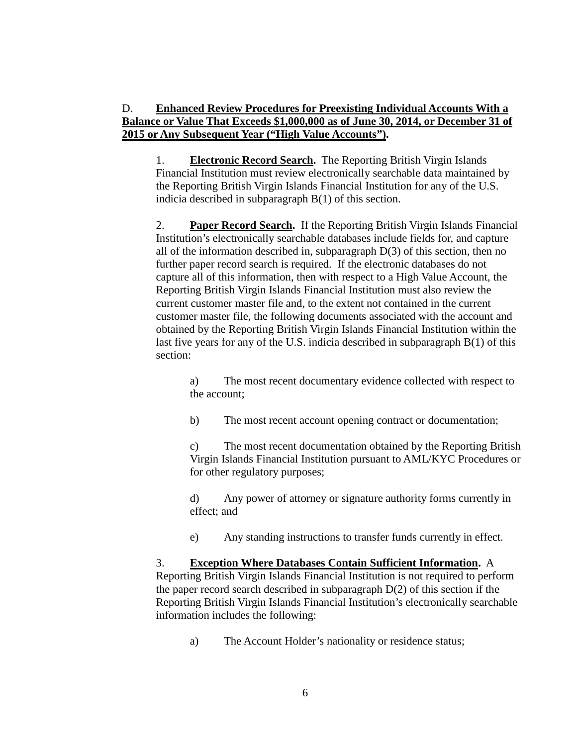## D. **Enhanced Review Procedures for Preexisting Individual Accounts With a Balance or Value That Exceeds \$1,000,000 as of June 30, 2014, or December 31 of 2015 or Any Subsequent Year ("High Value Accounts").**

1. **Electronic Record Search.** The Reporting British Virgin Islands Financial Institution must review electronically searchable data maintained by the Reporting British Virgin Islands Financial Institution for any of the U.S. indicia described in subparagraph B(1) of this section.

2. **Paper Record Search.** If the Reporting British Virgin Islands Financial Institution's electronically searchable databases include fields for, and capture all of the information described in, subparagraph  $D(3)$  of this section, then no further paper record search is required. If the electronic databases do not capture all of this information, then with respect to a High Value Account, the Reporting British Virgin Islands Financial Institution must also review the current customer master file and, to the extent not contained in the current customer master file, the following documents associated with the account and obtained by the Reporting British Virgin Islands Financial Institution within the last five years for any of the U.S. indicia described in subparagraph B(1) of this section:

a) The most recent documentary evidence collected with respect to the account;

b) The most recent account opening contract or documentation;

c) The most recent documentation obtained by the Reporting British Virgin Islands Financial Institution pursuant to AML/KYC Procedures or for other regulatory purposes;

d) Any power of attorney or signature authority forms currently in effect; and

e) Any standing instructions to transfer funds currently in effect.

#### 3. **Exception Where Databases Contain Sufficient Information.** A

Reporting British Virgin Islands Financial Institution is not required to perform the paper record search described in subparagraph D(2) of this section if the Reporting British Virgin Islands Financial Institution's electronically searchable information includes the following:

a) The Account Holder's nationality or residence status;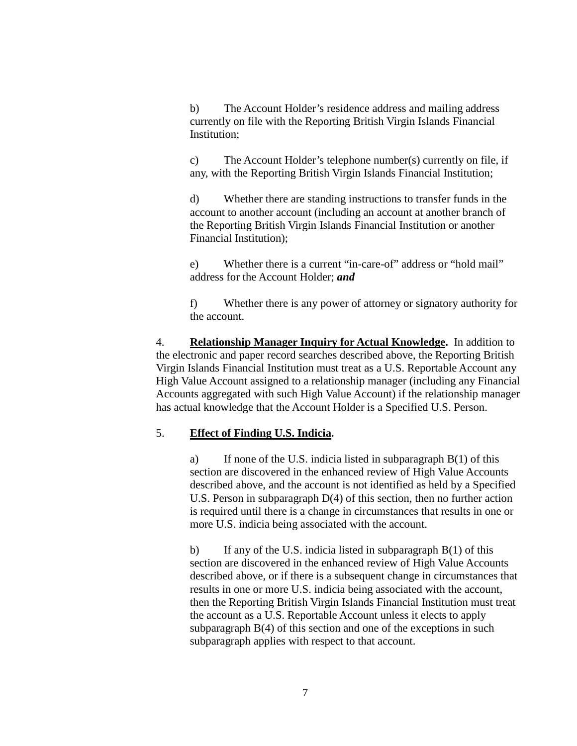b) The Account Holder's residence address and mailing address currently on file with the Reporting British Virgin Islands Financial Institution;

c) The Account Holder's telephone number(s) currently on file, if any, with the Reporting British Virgin Islands Financial Institution;

d) Whether there are standing instructions to transfer funds in the account to another account (including an account at another branch of the Reporting British Virgin Islands Financial Institution or another Financial Institution);

e) Whether there is a current "in-care-of" address or "hold mail" address for the Account Holder; *and*

f) Whether there is any power of attorney or signatory authority for the account.

4. **Relationship Manager Inquiry for Actual Knowledge.** In addition to the electronic and paper record searches described above, the Reporting British Virgin Islands Financial Institution must treat as a U.S. Reportable Account any High Value Account assigned to a relationship manager (including any Financial Accounts aggregated with such High Value Account) if the relationship manager has actual knowledge that the Account Holder is a Specified U.S. Person.

### 5. **Effect of Finding U.S. Indicia.**

a) If none of the U.S. indicia listed in subparagraph B(1) of this section are discovered in the enhanced review of High Value Accounts described above, and the account is not identified as held by a Specified U.S. Person in subparagraph D(4) of this section, then no further action is required until there is a change in circumstances that results in one or more U.S. indicia being associated with the account.

b) If any of the U.S. indicia listed in subparagraph B(1) of this section are discovered in the enhanced review of High Value Accounts described above, or if there is a subsequent change in circumstances that results in one or more U.S. indicia being associated with the account, then the Reporting British Virgin Islands Financial Institution must treat the account as a U.S. Reportable Account unless it elects to apply subparagraph B(4) of this section and one of the exceptions in such subparagraph applies with respect to that account.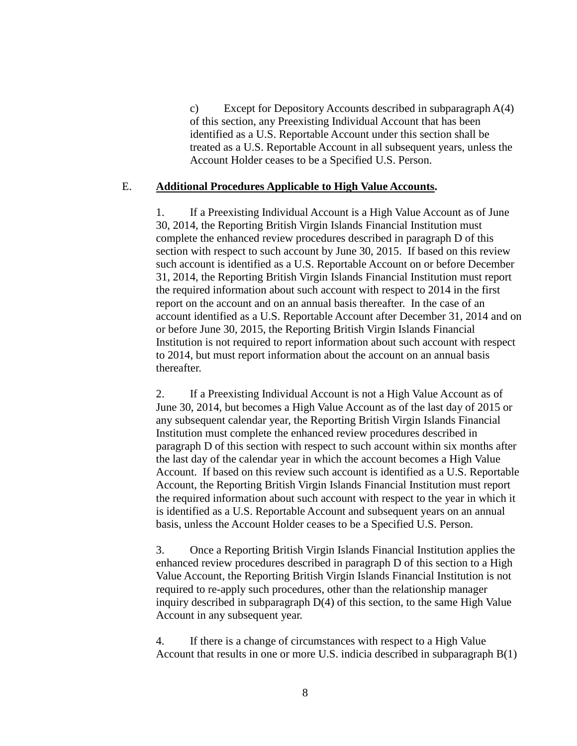c) Except for Depository Accounts described in subparagraph A(4) of this section, any Preexisting Individual Account that has been identified as a U.S. Reportable Account under this section shall be treated as a U.S. Reportable Account in all subsequent years, unless the Account Holder ceases to be a Specified U.S. Person.

#### E. **Additional Procedures Applicable to High Value Accounts.**

1. If a Preexisting Individual Account is a High Value Account as of June 30, 2014, the Reporting British Virgin Islands Financial Institution must complete the enhanced review procedures described in paragraph D of this section with respect to such account by June 30, 2015. If based on this review such account is identified as a U.S. Reportable Account on or before December 31, 2014, the Reporting British Virgin Islands Financial Institution must report the required information about such account with respect to 2014 in the first report on the account and on an annual basis thereafter. In the case of an account identified as a U.S. Reportable Account after December 31, 2014 and on or before June 30, 2015, the Reporting British Virgin Islands Financial Institution is not required to report information about such account with respect to 2014, but must report information about the account on an annual basis thereafter.

2. If a Preexisting Individual Account is not a High Value Account as of June 30, 2014, but becomes a High Value Account as of the last day of 2015 or any subsequent calendar year, the Reporting British Virgin Islands Financial Institution must complete the enhanced review procedures described in paragraph D of this section with respect to such account within six months after the last day of the calendar year in which the account becomes a High Value Account. If based on this review such account is identified as a U.S. Reportable Account, the Reporting British Virgin Islands Financial Institution must report the required information about such account with respect to the year in which it is identified as a U.S. Reportable Account and subsequent years on an annual basis, unless the Account Holder ceases to be a Specified U.S. Person.

3. Once a Reporting British Virgin Islands Financial Institution applies the enhanced review procedures described in paragraph D of this section to a High Value Account, the Reporting British Virgin Islands Financial Institution is not required to re-apply such procedures, other than the relationship manager inquiry described in subparagraph D(4) of this section, to the same High Value Account in any subsequent year.

4. If there is a change of circumstances with respect to a High Value Account that results in one or more U.S. indicia described in subparagraph B(1)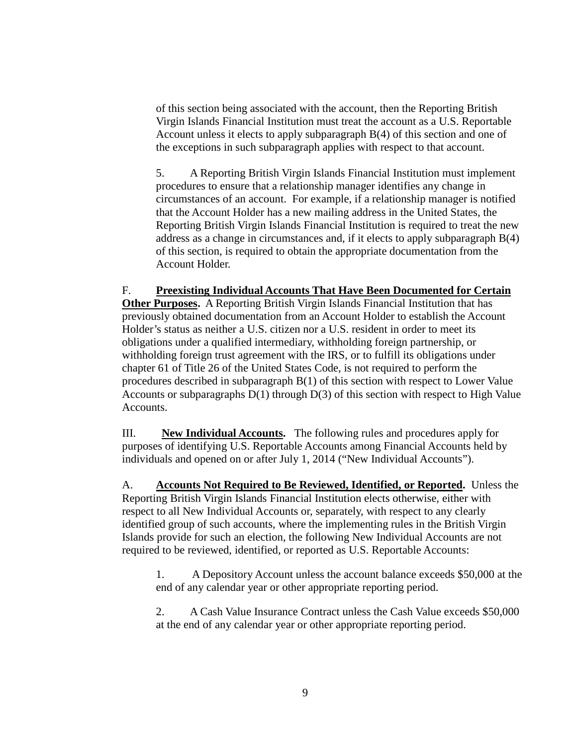of this section being associated with the account, then the Reporting British Virgin Islands Financial Institution must treat the account as a U.S. Reportable Account unless it elects to apply subparagraph B(4) of this section and one of the exceptions in such subparagraph applies with respect to that account.

5. A Reporting British Virgin Islands Financial Institution must implement procedures to ensure that a relationship manager identifies any change in circumstances of an account. For example, if a relationship manager is notified that the Account Holder has a new mailing address in the United States, the Reporting British Virgin Islands Financial Institution is required to treat the new address as a change in circumstances and, if it elects to apply subparagraph B(4) of this section, is required to obtain the appropriate documentation from the Account Holder.

F. **Preexisting Individual Accounts That Have Been Documented for Certain Other Purposes.** A Reporting British Virgin Islands Financial Institution that has previously obtained documentation from an Account Holder to establish the Account Holder's status as neither a U.S. citizen nor a U.S. resident in order to meet its obligations under a qualified intermediary, withholding foreign partnership, or withholding foreign trust agreement with the IRS, or to fulfill its obligations under chapter 61 of Title 26 of the United States Code, is not required to perform the procedures described in subparagraph B(1) of this section with respect to Lower Value Accounts or subparagraphs D(1) through D(3) of this section with respect to High Value Accounts.

III. **New Individual Accounts.** The following rules and procedures apply for purposes of identifying U.S. Reportable Accounts among Financial Accounts held by individuals and opened on or after July 1, 2014 ("New Individual Accounts").

A. **Accounts Not Required to Be Reviewed, Identified, or Reported.** Unless the Reporting British Virgin Islands Financial Institution elects otherwise, either with respect to all New Individual Accounts or, separately, with respect to any clearly identified group of such accounts, where the implementing rules in the British Virgin Islands provide for such an election, the following New Individual Accounts are not required to be reviewed, identified, or reported as U.S. Reportable Accounts:

1. A Depository Account unless the account balance exceeds \$50,000 at the end of any calendar year or other appropriate reporting period.

2. A Cash Value Insurance Contract unless the Cash Value exceeds \$50,000 at the end of any calendar year or other appropriate reporting period.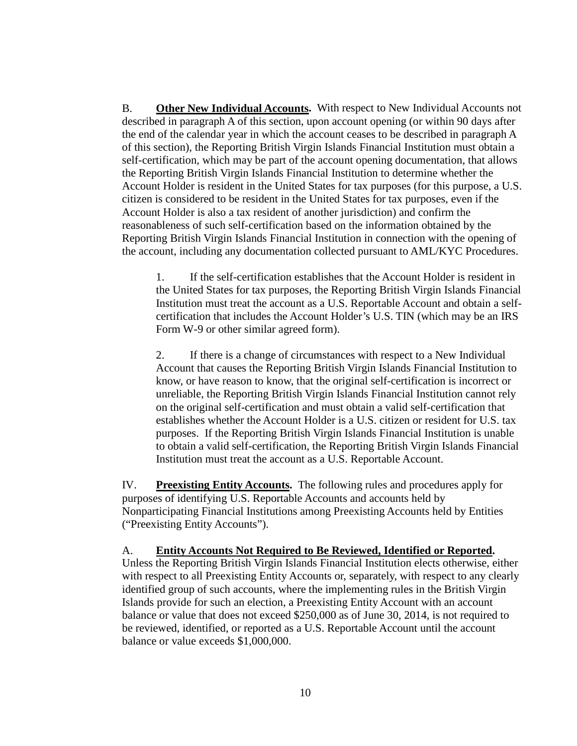B. **Other New Individual Accounts.** With respect to New Individual Accounts not described in paragraph A of this section, upon account opening (or within 90 days after the end of the calendar year in which the account ceases to be described in paragraph A of this section), the Reporting British Virgin Islands Financial Institution must obtain a self-certification, which may be part of the account opening documentation, that allows the Reporting British Virgin Islands Financial Institution to determine whether the Account Holder is resident in the United States for tax purposes (for this purpose, a U.S. citizen is considered to be resident in the United States for tax purposes, even if the Account Holder is also a tax resident of another jurisdiction) and confirm the reasonableness of such self-certification based on the information obtained by the Reporting British Virgin Islands Financial Institution in connection with the opening of the account, including any documentation collected pursuant to AML/KYC Procedures.

1. If the self-certification establishes that the Account Holder is resident in the United States for tax purposes, the Reporting British Virgin Islands Financial Institution must treat the account as a U.S. Reportable Account and obtain a selfcertification that includes the Account Holder's U.S. TIN (which may be an IRS Form W-9 or other similar agreed form).

2. If there is a change of circumstances with respect to a New Individual Account that causes the Reporting British Virgin Islands Financial Institution to know, or have reason to know, that the original self-certification is incorrect or unreliable, the Reporting British Virgin Islands Financial Institution cannot rely on the original self-certification and must obtain a valid self-certification that establishes whether the Account Holder is a U.S. citizen or resident for U.S. tax purposes. If the Reporting British Virgin Islands Financial Institution is unable to obtain a valid self-certification, the Reporting British Virgin Islands Financial Institution must treat the account as a U.S. Reportable Account.

IV. **Preexisting Entity Accounts.** The following rules and procedures apply for purposes of identifying U.S. Reportable Accounts and accounts held by Nonparticipating Financial Institutions among Preexisting Accounts held by Entities ("Preexisting Entity Accounts").

#### A. **Entity Accounts Not Required to Be Reviewed, Identified or Reported.**

Unless the Reporting British Virgin Islands Financial Institution elects otherwise, either with respect to all Preexisting Entity Accounts or, separately, with respect to any clearly identified group of such accounts, where the implementing rules in the British Virgin Islands provide for such an election, a Preexisting Entity Account with an account balance or value that does not exceed \$250,000 as of June 30, 2014, is not required to be reviewed, identified, or reported as a U.S. Reportable Account until the account balance or value exceeds \$1,000,000.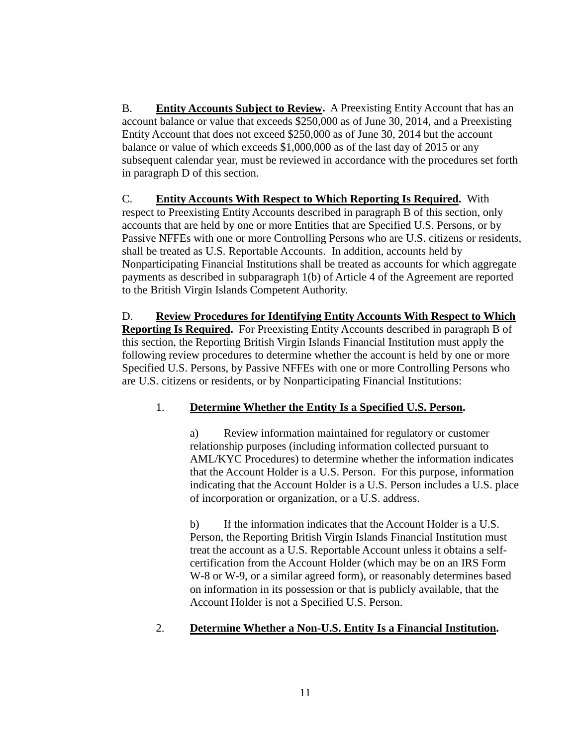B. **Entity Accounts Subject to Review.** A Preexisting Entity Account that has an account balance or value that exceeds \$250,000 as of June 30, 2014, and a Preexisting Entity Account that does not exceed \$250,000 as of June 30, 2014 but the account balance or value of which exceeds \$1,000,000 as of the last day of 2015 or any subsequent calendar year, must be reviewed in accordance with the procedures set forth in paragraph D of this section.

C. **Entity Accounts With Respect to Which Reporting Is Required.** With respect to Preexisting Entity Accounts described in paragraph B of this section, only accounts that are held by one or more Entities that are Specified U.S. Persons, or by Passive NFFEs with one or more Controlling Persons who are U.S. citizens or residents, shall be treated as U.S. Reportable Accounts. In addition, accounts held by Nonparticipating Financial Institutions shall be treated as accounts for which aggregate payments as described in subparagraph 1(b) of Article 4 of the Agreement are reported to the British Virgin Islands Competent Authority.

D. **Review Procedures for Identifying Entity Accounts With Respect to Which Reporting Is Required.** For Preexisting Entity Accounts described in paragraph B of this section, the Reporting British Virgin Islands Financial Institution must apply the following review procedures to determine whether the account is held by one or more Specified U.S. Persons, by Passive NFFEs with one or more Controlling Persons who are U.S. citizens or residents, or by Nonparticipating Financial Institutions:

# 1. **Determine Whether the Entity Is a Specified U.S. Person.**

a) Review information maintained for regulatory or customer relationship purposes (including information collected pursuant to AML/KYC Procedures) to determine whether the information indicates that the Account Holder is a U.S. Person. For this purpose, information indicating that the Account Holder is a U.S. Person includes a U.S. place of incorporation or organization, or a U.S. address.

b) If the information indicates that the Account Holder is a U.S. Person, the Reporting British Virgin Islands Financial Institution must treat the account as a U.S. Reportable Account unless it obtains a selfcertification from the Account Holder (which may be on an IRS Form W-8 or W-9, or a similar agreed form), or reasonably determines based on information in its possession or that is publicly available, that the Account Holder is not a Specified U.S. Person.

# 2. **Determine Whether a Non-U.S. Entity Is a Financial Institution.**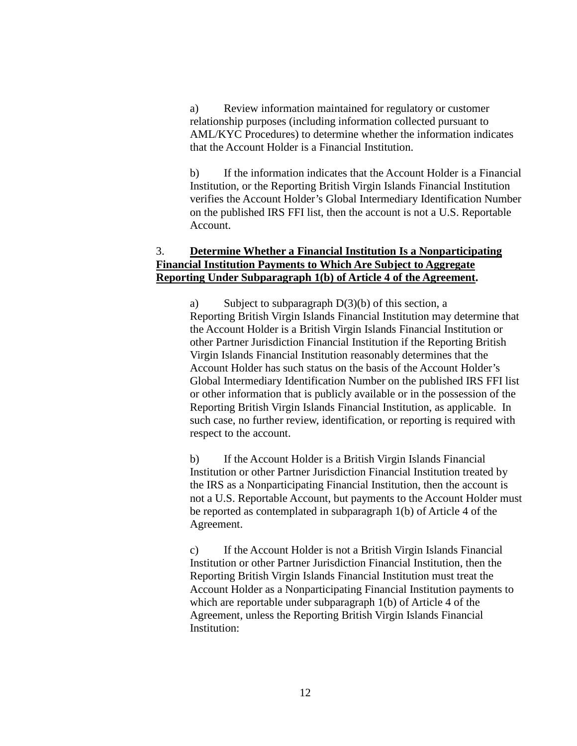a) Review information maintained for regulatory or customer relationship purposes (including information collected pursuant to AML/KYC Procedures) to determine whether the information indicates that the Account Holder is a Financial Institution.

b) If the information indicates that the Account Holder is a Financial Institution, or the Reporting British Virgin Islands Financial Institution verifies the Account Holder's Global Intermediary Identification Number on the published IRS FFI list, then the account is not a U.S. Reportable Account.

## 3. **Determine Whether a Financial Institution Is a Nonparticipating Financial Institution Payments to Which Are Subject to Aggregate Reporting Under Subparagraph 1(b) of Article 4 of the Agreement.**

a) Subject to subparagraph  $D(3)(b)$  of this section, a Reporting British Virgin Islands Financial Institution may determine that the Account Holder is a British Virgin Islands Financial Institution or other Partner Jurisdiction Financial Institution if the Reporting British Virgin Islands Financial Institution reasonably determines that the Account Holder has such status on the basis of the Account Holder's Global Intermediary Identification Number on the published IRS FFI list or other information that is publicly available or in the possession of the Reporting British Virgin Islands Financial Institution, as applicable. In such case, no further review, identification, or reporting is required with respect to the account.

b) If the Account Holder is a British Virgin Islands Financial Institution or other Partner Jurisdiction Financial Institution treated by the IRS as a Nonparticipating Financial Institution, then the account is not a U.S. Reportable Account, but payments to the Account Holder must be reported as contemplated in subparagraph 1(b) of Article 4 of the Agreement.

c) If the Account Holder is not a British Virgin Islands Financial Institution or other Partner Jurisdiction Financial Institution, then the Reporting British Virgin Islands Financial Institution must treat the Account Holder as a Nonparticipating Financial Institution payments to which are reportable under subparagraph 1(b) of Article 4 of the Agreement, unless the Reporting British Virgin Islands Financial Institution: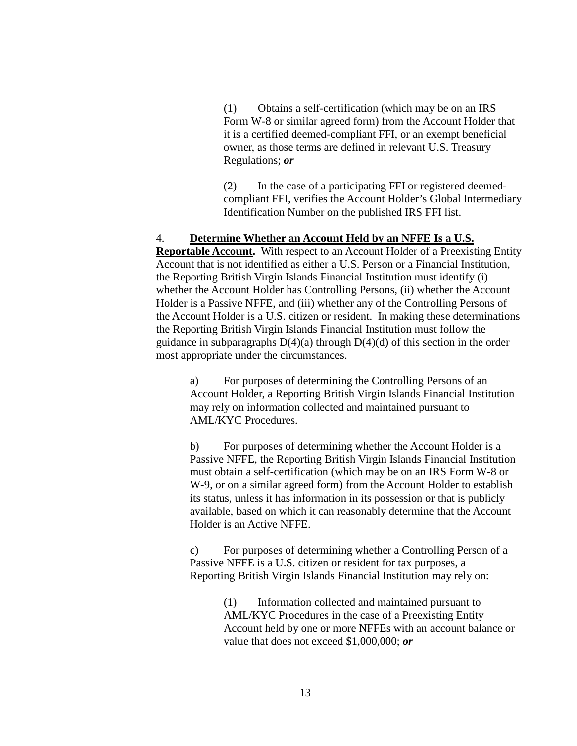(1) Obtains a self-certification (which may be on an IRS Form W-8 or similar agreed form) from the Account Holder that it is a certified deemed-compliant FFI, or an exempt beneficial owner, as those terms are defined in relevant U.S. Treasury Regulations; *or*

(2) In the case of a participating FFI or registered deemedcompliant FFI, verifies the Account Holder's Global Intermediary Identification Number on the published IRS FFI list.

#### 4. **Determine Whether an Account Held by an NFFE Is a U.S.**

**Reportable Account.** With respect to an Account Holder of a Preexisting Entity Account that is not identified as either a U.S. Person or a Financial Institution, the Reporting British Virgin Islands Financial Institution must identify (i) whether the Account Holder has Controlling Persons, (ii) whether the Account Holder is a Passive NFFE, and (iii) whether any of the Controlling Persons of the Account Holder is a U.S. citizen or resident. In making these determinations the Reporting British Virgin Islands Financial Institution must follow the guidance in subparagraphs  $D(4)(a)$  through  $D(4)(d)$  of this section in the order most appropriate under the circumstances.

a) For purposes of determining the Controlling Persons of an Account Holder, a Reporting British Virgin Islands Financial Institution may rely on information collected and maintained pursuant to AML/KYC Procedures.

b) For purposes of determining whether the Account Holder is a Passive NFFE, the Reporting British Virgin Islands Financial Institution must obtain a self-certification (which may be on an IRS Form W-8 or W-9, or on a similar agreed form) from the Account Holder to establish its status, unless it has information in its possession or that is publicly available, based on which it can reasonably determine that the Account Holder is an Active NFFE.

c) For purposes of determining whether a Controlling Person of a Passive NFFE is a U.S. citizen or resident for tax purposes, a Reporting British Virgin Islands Financial Institution may rely on:

> (1) Information collected and maintained pursuant to AML/KYC Procedures in the case of a Preexisting Entity Account held by one or more NFFEs with an account balance or value that does not exceed \$1,000,000; *or*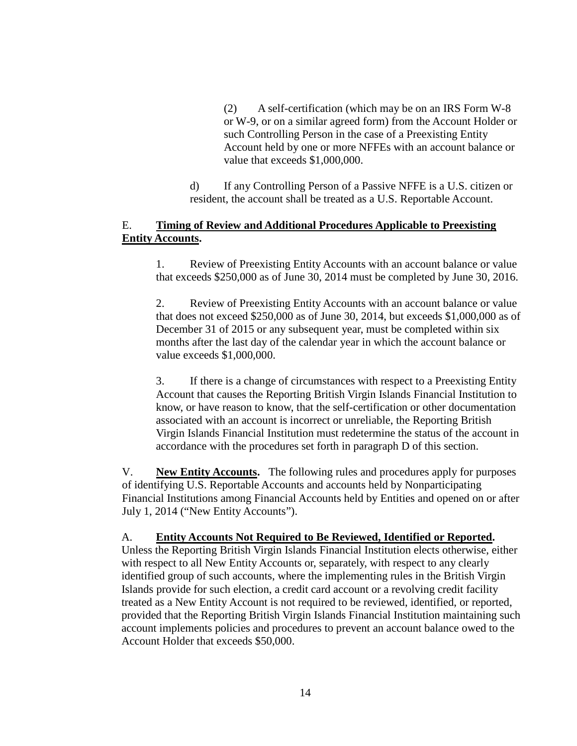(2) A self-certification (which may be on an IRS Form W-8 or W-9, or on a similar agreed form) from the Account Holder or such Controlling Person in the case of a Preexisting Entity Account held by one or more NFFEs with an account balance or value that exceeds \$1,000,000.

d) If any Controlling Person of a Passive NFFE is a U.S. citizen or resident, the account shall be treated as a U.S. Reportable Account.

## E. **Timing of Review and Additional Procedures Applicable to Preexisting Entity Accounts.**

1. Review of Preexisting Entity Accounts with an account balance or value that exceeds \$250,000 as of June 30, 2014 must be completed by June 30, 2016.

2. Review of Preexisting Entity Accounts with an account balance or value that does not exceed \$250,000 as of June 30, 2014, but exceeds \$1,000,000 as of December 31 of 2015 or any subsequent year, must be completed within six months after the last day of the calendar year in which the account balance or value exceeds \$1,000,000.

3. If there is a change of circumstances with respect to a Preexisting Entity Account that causes the Reporting British Virgin Islands Financial Institution to know, or have reason to know, that the self-certification or other documentation associated with an account is incorrect or unreliable, the Reporting British Virgin Islands Financial Institution must redetermine the status of the account in accordance with the procedures set forth in paragraph D of this section.

V. **New Entity Accounts.** The following rules and procedures apply for purposes of identifying U.S. Reportable Accounts and accounts held by Nonparticipating Financial Institutions among Financial Accounts held by Entities and opened on or after July 1, 2014 ("New Entity Accounts").

### A. **Entity Accounts Not Required to Be Reviewed, Identified or Reported.**

Unless the Reporting British Virgin Islands Financial Institution elects otherwise, either with respect to all New Entity Accounts or, separately, with respect to any clearly identified group of such accounts, where the implementing rules in the British Virgin Islands provide for such election, a credit card account or a revolving credit facility treated as a New Entity Account is not required to be reviewed, identified, or reported, provided that the Reporting British Virgin Islands Financial Institution maintaining such account implements policies and procedures to prevent an account balance owed to the Account Holder that exceeds \$50,000.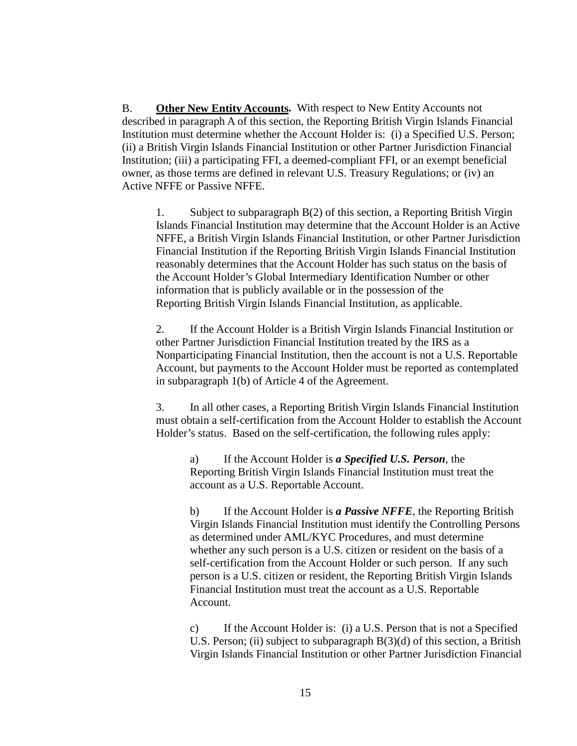B. **Other New Entity Accounts.** With respect to New Entity Accounts not described in paragraph A of this section, the Reporting British Virgin Islands Financial Institution must determine whether the Account Holder is: (i) a Specified U.S. Person; (ii) a British Virgin Islands Financial Institution or other Partner Jurisdiction Financial Institution; (iii) a participating FFI, a deemed-compliant FFI, or an exempt beneficial owner, as those terms are defined in relevant U.S. Treasury Regulations; or (iv) an Active NFFE or Passive NFFE.

1. Subject to subparagraph B(2) of this section, a Reporting British Virgin Islands Financial Institution may determine that the Account Holder is an Active NFFE, a British Virgin Islands Financial Institution, or other Partner Jurisdiction Financial Institution if the Reporting British Virgin Islands Financial Institution reasonably determines that the Account Holder has such status on the basis of the Account Holder's Global Intermediary Identification Number or other information that is publicly available or in the possession of the Reporting British Virgin Islands Financial Institution, as applicable.

2. If the Account Holder is a British Virgin Islands Financial Institution or other Partner Jurisdiction Financial Institution treated by the IRS as a Nonparticipating Financial Institution, then the account is not a U.S. Reportable Account, but payments to the Account Holder must be reported as contemplated in subparagraph 1(b) of Article 4 of the Agreement.

3. In all other cases, a Reporting British Virgin Islands Financial Institution must obtain a self-certification from the Account Holder to establish the Account Holder's status. Based on the self-certification, the following rules apply:

a) If the Account Holder is *a Specified U.S. Person*, the Reporting British Virgin Islands Financial Institution must treat the account as a U.S. Reportable Account.

b) If the Account Holder is *a Passive NFFE*, the Reporting British Virgin Islands Financial Institution must identify the Controlling Persons as determined under AML/KYC Procedures, and must determine whether any such person is a U.S. citizen or resident on the basis of a self-certification from the Account Holder or such person. If any such person is a U.S. citizen or resident, the Reporting British Virgin Islands Financial Institution must treat the account as a U.S. Reportable Account.

c) If the Account Holder is: (i) a U.S. Person that is not a Specified U.S. Person; (ii) subject to subparagraph  $B(3)(d)$  of this section, a British Virgin Islands Financial Institution or other Partner Jurisdiction Financial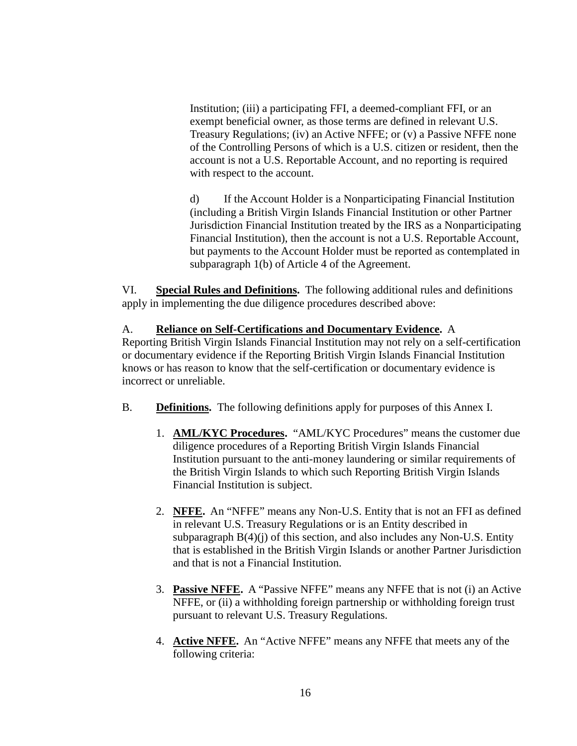Institution; (iii) a participating FFI, a deemed-compliant FFI, or an exempt beneficial owner, as those terms are defined in relevant U.S. Treasury Regulations; (iv) an Active NFFE; or (v) a Passive NFFE none of the Controlling Persons of which is a U.S. citizen or resident, then the account is not a U.S. Reportable Account, and no reporting is required with respect to the account.

d) If the Account Holder is a Nonparticipating Financial Institution (including a British Virgin Islands Financial Institution or other Partner Jurisdiction Financial Institution treated by the IRS as a Nonparticipating Financial Institution), then the account is not a U.S. Reportable Account, but payments to the Account Holder must be reported as contemplated in subparagraph 1(b) of Article 4 of the Agreement.

VI. **Special Rules and Definitions.** The following additional rules and definitions apply in implementing the due diligence procedures described above:

## A. **Reliance on Self-Certifications and Documentary Evidence.** A Reporting British Virgin Islands Financial Institution may not rely on a self-certification or documentary evidence if the Reporting British Virgin Islands Financial Institution knows or has reason to know that the self-certification or documentary evidence is incorrect or unreliable.

- B. **Definitions.** The following definitions apply for purposes of this Annex I.
	- 1. **AML/KYC Procedures.** "AML/KYC Procedures" means the customer due diligence procedures of a Reporting British Virgin Islands Financial Institution pursuant to the anti-money laundering or similar requirements of the British Virgin Islands to which such Reporting British Virgin Islands Financial Institution is subject.
	- 2. **NFFE.** An "NFFE" means any Non-U.S. Entity that is not an FFI as defined in relevant U.S. Treasury Regulations or is an Entity described in subparagraph B(4)(j) of this section, and also includes any Non-U.S. Entity that is established in the British Virgin Islands or another Partner Jurisdiction and that is not a Financial Institution.
	- 3. **Passive NFFE.** A "Passive NFFE" means any NFFE that is not (i) an Active NFFE, or (ii) a withholding foreign partnership or withholding foreign trust pursuant to relevant U.S. Treasury Regulations.
	- 4. **Active NFFE.** An "Active NFFE" means any NFFE that meets any of the following criteria: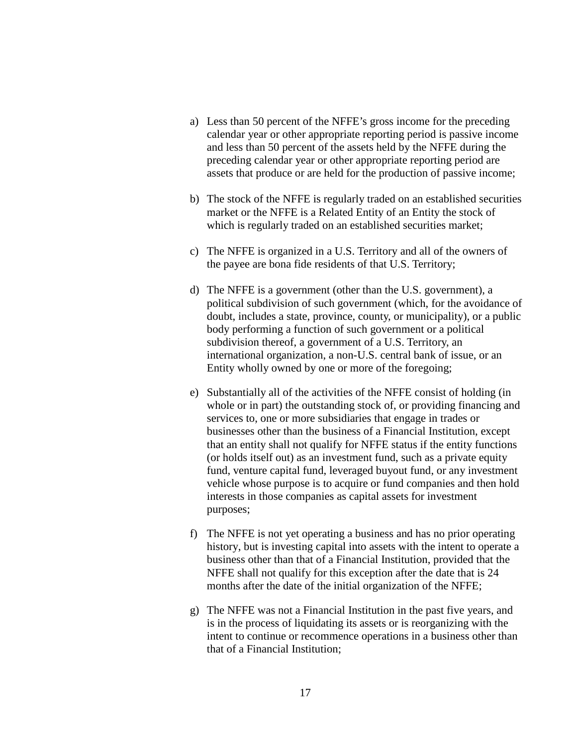- a) Less than 50 percent of the NFFE's gross income for the preceding calendar year or other appropriate reporting period is passive income and less than 50 percent of the assets held by the NFFE during the preceding calendar year or other appropriate reporting period are assets that produce or are held for the production of passive income;
- b) The stock of the NFFE is regularly traded on an established securities market or the NFFE is a Related Entity of an Entity the stock of which is regularly traded on an established securities market;
- c) The NFFE is organized in a U.S. Territory and all of the owners of the payee are bona fide residents of that U.S. Territory;
- d) The NFFE is a government (other than the U.S. government), a political subdivision of such government (which, for the avoidance of doubt, includes a state, province, county, or municipality), or a public body performing a function of such government or a political subdivision thereof, a government of a U.S. Territory, an international organization, a non-U.S. central bank of issue, or an Entity wholly owned by one or more of the foregoing;
- e) Substantially all of the activities of the NFFE consist of holding (in whole or in part) the outstanding stock of, or providing financing and services to, one or more subsidiaries that engage in trades or businesses other than the business of a Financial Institution, except that an entity shall not qualify for NFFE status if the entity functions (or holds itself out) as an investment fund, such as a private equity fund, venture capital fund, leveraged buyout fund, or any investment vehicle whose purpose is to acquire or fund companies and then hold interests in those companies as capital assets for investment purposes;
- f) The NFFE is not yet operating a business and has no prior operating history, but is investing capital into assets with the intent to operate a business other than that of a Financial Institution, provided that the NFFE shall not qualify for this exception after the date that is 24 months after the date of the initial organization of the NFFE;
- g) The NFFE was not a Financial Institution in the past five years, and is in the process of liquidating its assets or is reorganizing with the intent to continue or recommence operations in a business other than that of a Financial Institution;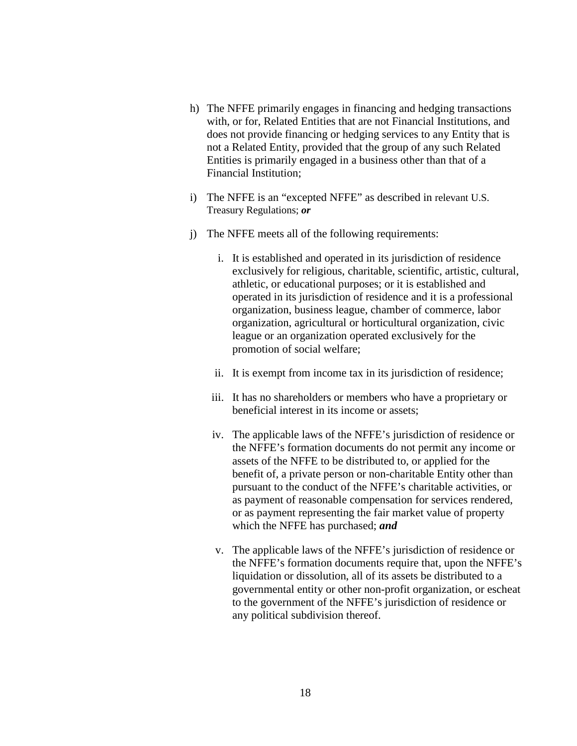- h) The NFFE primarily engages in financing and hedging transactions with, or for, Related Entities that are not Financial Institutions, and does not provide financing or hedging services to any Entity that is not a Related Entity, provided that the group of any such Related Entities is primarily engaged in a business other than that of a Financial Institution;
- i) The NFFE is an "excepted NFFE" as described in relevant U.S. Treasury Regulations; *or*
- j) The NFFE meets all of the following requirements:
	- i. It is established and operated in its jurisdiction of residence exclusively for religious, charitable, scientific, artistic, cultural, athletic, or educational purposes; or it is established and operated in its jurisdiction of residence and it is a professional organization, business league, chamber of commerce, labor organization, agricultural or horticultural organization, civic league or an organization operated exclusively for the promotion of social welfare;
	- ii. It is exempt from income tax in its jurisdiction of residence;
	- iii. It has no shareholders or members who have a proprietary or beneficial interest in its income or assets;
	- iv. The applicable laws of the NFFE's jurisdiction of residence or the NFFE's formation documents do not permit any income or assets of the NFFE to be distributed to, or applied for the benefit of, a private person or non-charitable Entity other than pursuant to the conduct of the NFFE's charitable activities, or as payment of reasonable compensation for services rendered, or as payment representing the fair market value of property which the NFFE has purchased; *and*
	- v. The applicable laws of the NFFE's jurisdiction of residence or the NFFE's formation documents require that, upon the NFFE's liquidation or dissolution, all of its assets be distributed to a governmental entity or other non-profit organization, or escheat to the government of the NFFE's jurisdiction of residence or any political subdivision thereof.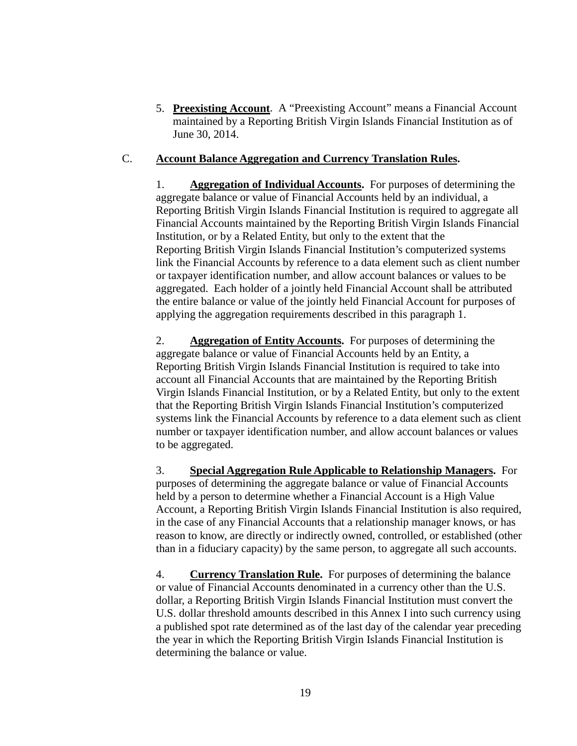5. **Preexisting Account**. A "Preexisting Account" means a Financial Account maintained by a Reporting British Virgin Islands Financial Institution as of June 30, 2014.

#### C. **Account Balance Aggregation and Currency Translation Rules.**

1. **Aggregation of Individual Accounts.** For purposes of determining the aggregate balance or value of Financial Accounts held by an individual, a Reporting British Virgin Islands Financial Institution is required to aggregate all Financial Accounts maintained by the Reporting British Virgin Islands Financial Institution, or by a Related Entity, but only to the extent that the Reporting British Virgin Islands Financial Institution's computerized systems link the Financial Accounts by reference to a data element such as client number or taxpayer identification number, and allow account balances or values to be aggregated. Each holder of a jointly held Financial Account shall be attributed the entire balance or value of the jointly held Financial Account for purposes of applying the aggregation requirements described in this paragraph 1.

2. **Aggregation of Entity Accounts.** For purposes of determining the aggregate balance or value of Financial Accounts held by an Entity, a Reporting British Virgin Islands Financial Institution is required to take into account all Financial Accounts that are maintained by the Reporting British Virgin Islands Financial Institution, or by a Related Entity, but only to the extent that the Reporting British Virgin Islands Financial Institution's computerized systems link the Financial Accounts by reference to a data element such as client number or taxpayer identification number, and allow account balances or values to be aggregated.

3. **Special Aggregation Rule Applicable to Relationship Managers.** For purposes of determining the aggregate balance or value of Financial Accounts held by a person to determine whether a Financial Account is a High Value Account, a Reporting British Virgin Islands Financial Institution is also required, in the case of any Financial Accounts that a relationship manager knows, or has reason to know, are directly or indirectly owned, controlled, or established (other than in a fiduciary capacity) by the same person, to aggregate all such accounts.

4. **Currency Translation Rule.** For purposes of determining the balance or value of Financial Accounts denominated in a currency other than the U.S. dollar, a Reporting British Virgin Islands Financial Institution must convert the U.S. dollar threshold amounts described in this Annex I into such currency using a published spot rate determined as of the last day of the calendar year preceding the year in which the Reporting British Virgin Islands Financial Institution is determining the balance or value.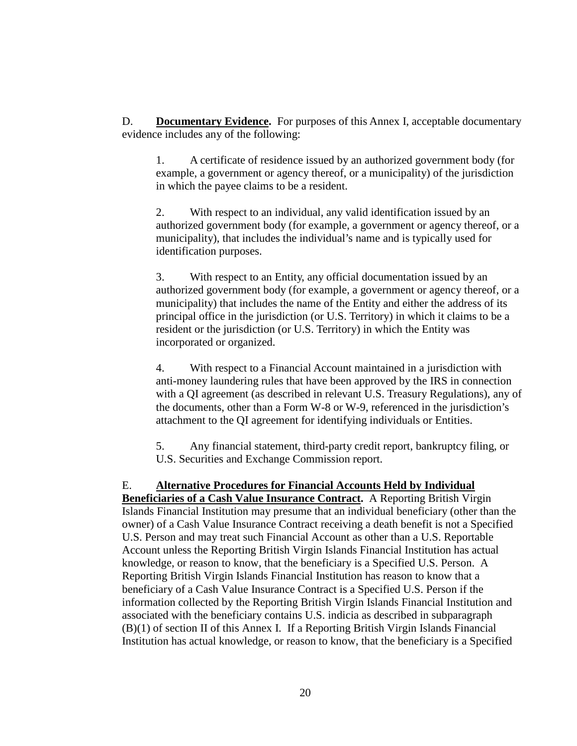D. **Documentary Evidence.** For purposes of this Annex I, acceptable documentary evidence includes any of the following:

1. A certificate of residence issued by an authorized government body (for example, a government or agency thereof, or a municipality) of the jurisdiction in which the payee claims to be a resident.

2. With respect to an individual, any valid identification issued by an authorized government body (for example, a government or agency thereof, or a municipality), that includes the individual's name and is typically used for identification purposes.

3. With respect to an Entity, any official documentation issued by an authorized government body (for example, a government or agency thereof, or a municipality) that includes the name of the Entity and either the address of its principal office in the jurisdiction (or U.S. Territory) in which it claims to be a resident or the jurisdiction (or U.S. Territory) in which the Entity was incorporated or organized.

4. With respect to a Financial Account maintained in a jurisdiction with anti-money laundering rules that have been approved by the IRS in connection with a QI agreement (as described in relevant U.S. Treasury Regulations), any of the documents, other than a Form W-8 or W-9, referenced in the jurisdiction's attachment to the QI agreement for identifying individuals or Entities.

5. Any financial statement, third-party credit report, bankruptcy filing, or U.S. Securities and Exchange Commission report.

#### E. **Alternative Procedures for Financial Accounts Held by Individual**

**Beneficiaries of a Cash Value Insurance Contract.** A Reporting British Virgin Islands Financial Institution may presume that an individual beneficiary (other than the owner) of a Cash Value Insurance Contract receiving a death benefit is not a Specified U.S. Person and may treat such Financial Account as other than a U.S. Reportable Account unless the Reporting British Virgin Islands Financial Institution has actual knowledge, or reason to know, that the beneficiary is a Specified U.S. Person. A Reporting British Virgin Islands Financial Institution has reason to know that a beneficiary of a Cash Value Insurance Contract is a Specified U.S. Person if the information collected by the Reporting British Virgin Islands Financial Institution and associated with the beneficiary contains U.S. indicia as described in subparagraph (B)(1) of section II of this Annex I. If a Reporting British Virgin Islands Financial Institution has actual knowledge, or reason to know, that the beneficiary is a Specified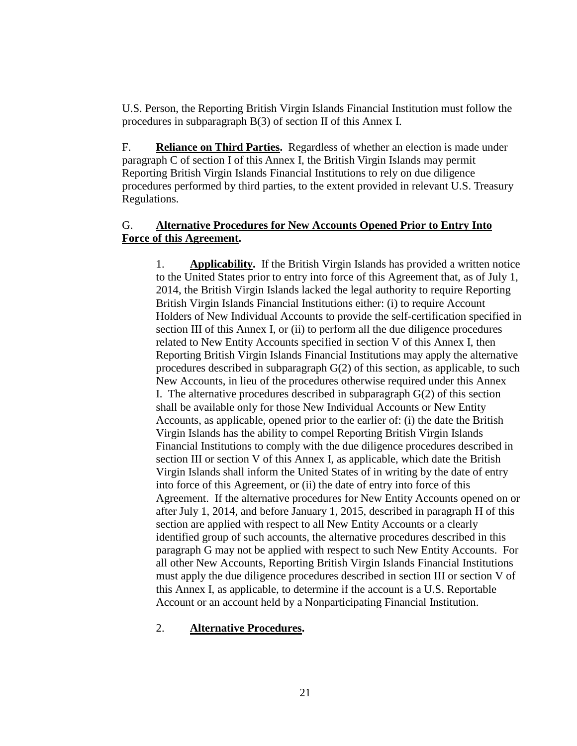U.S. Person, the Reporting British Virgin Islands Financial Institution must follow the procedures in subparagraph B(3) of section II of this Annex I.

F. **Reliance on Third Parties.** Regardless of whether an election is made under paragraph C of section I of this Annex I, the British Virgin Islands may permit Reporting British Virgin Islands Financial Institutions to rely on due diligence procedures performed by third parties, to the extent provided in relevant U.S. Treasury Regulations.

## G. **Alternative Procedures for New Accounts Opened Prior to Entry Into Force of this Agreement.**

1. **Applicability.** If the British Virgin Islands has provided a written notice to the United States prior to entry into force of this Agreement that, as of July 1, 2014, the British Virgin Islands lacked the legal authority to require Reporting British Virgin Islands Financial Institutions either: (i) to require Account Holders of New Individual Accounts to provide the self-certification specified in section III of this Annex I, or (ii) to perform all the due diligence procedures related to New Entity Accounts specified in section V of this Annex I, then Reporting British Virgin Islands Financial Institutions may apply the alternative procedures described in subparagraph G(2) of this section, as applicable, to such New Accounts, in lieu of the procedures otherwise required under this Annex I. The alternative procedures described in subparagraph G(2) of this section shall be available only for those New Individual Accounts or New Entity Accounts, as applicable, opened prior to the earlier of: (i) the date the British Virgin Islands has the ability to compel Reporting British Virgin Islands Financial Institutions to comply with the due diligence procedures described in section III or section V of this Annex I, as applicable, which date the British Virgin Islands shall inform the United States of in writing by the date of entry into force of this Agreement, or (ii) the date of entry into force of this Agreement. If the alternative procedures for New Entity Accounts opened on or after July 1, 2014, and before January 1, 2015, described in paragraph H of this section are applied with respect to all New Entity Accounts or a clearly identified group of such accounts, the alternative procedures described in this paragraph G may not be applied with respect to such New Entity Accounts. For all other New Accounts, Reporting British Virgin Islands Financial Institutions must apply the due diligence procedures described in section III or section V of this Annex I, as applicable, to determine if the account is a U.S. Reportable Account or an account held by a Nonparticipating Financial Institution.

### 2. **Alternative Procedures.**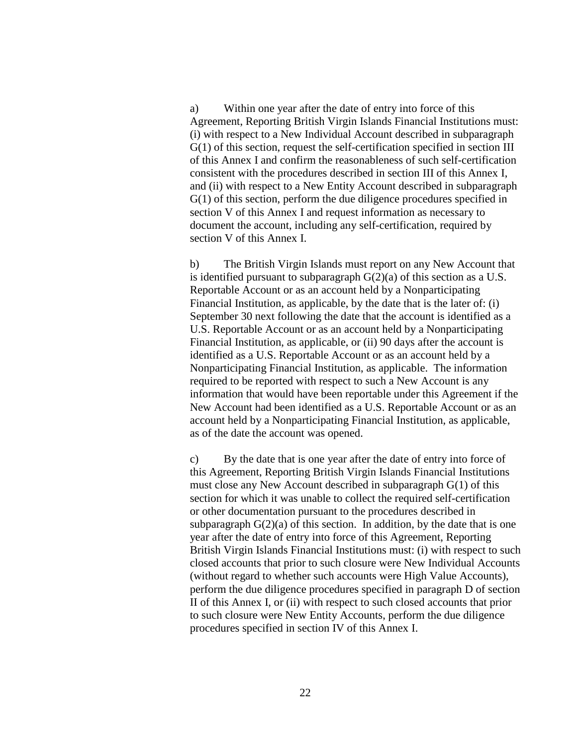a) Within one year after the date of entry into force of this Agreement, Reporting British Virgin Islands Financial Institutions must: (i) with respect to a New Individual Account described in subparagraph G(1) of this section, request the self-certification specified in section III of this Annex I and confirm the reasonableness of such self-certification consistent with the procedures described in section III of this Annex I, and (ii) with respect to a New Entity Account described in subparagraph G(1) of this section, perform the due diligence procedures specified in section V of this Annex I and request information as necessary to document the account, including any self-certification, required by section V of this Annex I.

b) The British Virgin Islands must report on any New Account that is identified pursuant to subparagraph  $G(2)(a)$  of this section as a U.S. Reportable Account or as an account held by a Nonparticipating Financial Institution, as applicable, by the date that is the later of: (i) September 30 next following the date that the account is identified as a U.S. Reportable Account or as an account held by a Nonparticipating Financial Institution, as applicable, or (ii) 90 days after the account is identified as a U.S. Reportable Account or as an account held by a Nonparticipating Financial Institution, as applicable. The information required to be reported with respect to such a New Account is any information that would have been reportable under this Agreement if the New Account had been identified as a U.S. Reportable Account or as an account held by a Nonparticipating Financial Institution, as applicable, as of the date the account was opened.

c) By the date that is one year after the date of entry into force of this Agreement, Reporting British Virgin Islands Financial Institutions must close any New Account described in subparagraph G(1) of this section for which it was unable to collect the required self-certification or other documentation pursuant to the procedures described in subparagraph  $G(2)(a)$  of this section. In addition, by the date that is one year after the date of entry into force of this Agreement, Reporting British Virgin Islands Financial Institutions must: (i) with respect to such closed accounts that prior to such closure were New Individual Accounts (without regard to whether such accounts were High Value Accounts), perform the due diligence procedures specified in paragraph D of section II of this Annex I, or (ii) with respect to such closed accounts that prior to such closure were New Entity Accounts, perform the due diligence procedures specified in section IV of this Annex I.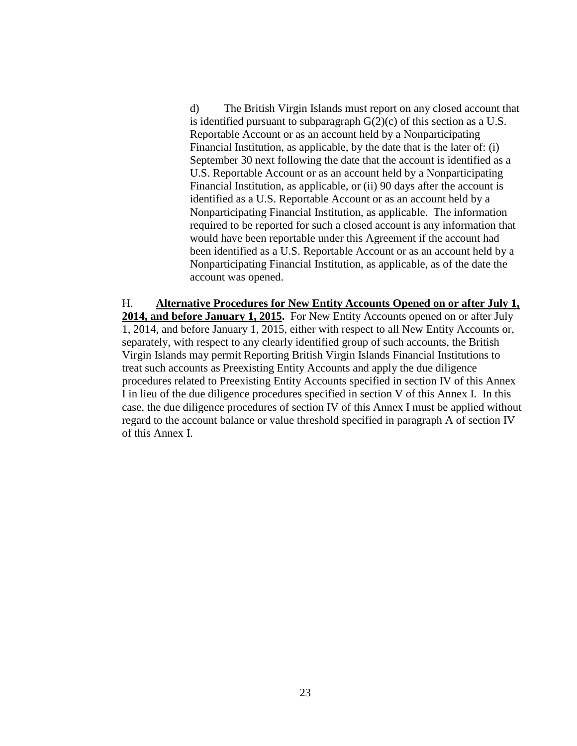d) The British Virgin Islands must report on any closed account that is identified pursuant to subparagraph  $G(2)(c)$  of this section as a U.S. Reportable Account or as an account held by a Nonparticipating Financial Institution, as applicable, by the date that is the later of: (i) September 30 next following the date that the account is identified as a U.S. Reportable Account or as an account held by a Nonparticipating Financial Institution, as applicable, or (ii) 90 days after the account is identified as a U.S. Reportable Account or as an account held by a Nonparticipating Financial Institution, as applicable. The information required to be reported for such a closed account is any information that would have been reportable under this Agreement if the account had been identified as a U.S. Reportable Account or as an account held by a Nonparticipating Financial Institution, as applicable, as of the date the account was opened.

H. **Alternative Procedures for New Entity Accounts Opened on or after July 1, 2014, and before January 1, 2015.** For New Entity Accounts opened on or after July 1, 2014, and before January 1, 2015, either with respect to all New Entity Accounts or, separately, with respect to any clearly identified group of such accounts, the British Virgin Islands may permit Reporting British Virgin Islands Financial Institutions to treat such accounts as Preexisting Entity Accounts and apply the due diligence procedures related to Preexisting Entity Accounts specified in section IV of this Annex I in lieu of the due diligence procedures specified in section V of this Annex I. In this case, the due diligence procedures of section IV of this Annex I must be applied without regard to the account balance or value threshold specified in paragraph A of section IV of this Annex I.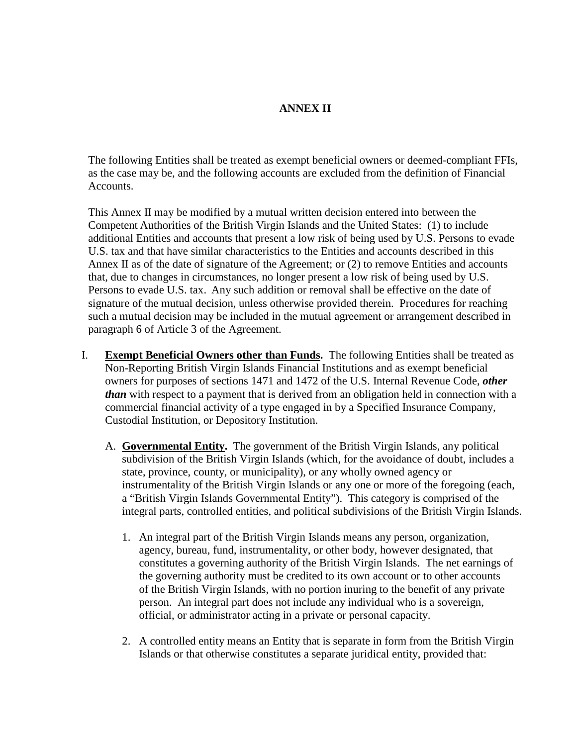## **ANNEX II**

The following Entities shall be treated as exempt beneficial owners or deemed-compliant FFIs, as the case may be, and the following accounts are excluded from the definition of Financial Accounts.

This Annex II may be modified by a mutual written decision entered into between the Competent Authorities of the British Virgin Islands and the United States: (1) to include additional Entities and accounts that present a low risk of being used by U.S. Persons to evade U.S. tax and that have similar characteristics to the Entities and accounts described in this Annex II as of the date of signature of the Agreement; or (2) to remove Entities and accounts that, due to changes in circumstances, no longer present a low risk of being used by U.S. Persons to evade U.S. tax. Any such addition or removal shall be effective on the date of signature of the mutual decision, unless otherwise provided therein. Procedures for reaching such a mutual decision may be included in the mutual agreement or arrangement described in paragraph 6 of Article 3 of the Agreement.

- I. **Exempt Beneficial Owners other than Funds.** The following Entities shall be treated as Non-Reporting British Virgin Islands Financial Institutions and as exempt beneficial owners for purposes of sections 1471 and 1472 of the U.S. Internal Revenue Code, *other than* with respect to a payment that is derived from an obligation held in connection with a commercial financial activity of a type engaged in by a Specified Insurance Company, Custodial Institution, or Depository Institution.
	- A. **Governmental Entity.** The government of the British Virgin Islands, any political subdivision of the British Virgin Islands (which, for the avoidance of doubt, includes a state, province, county, or municipality), or any wholly owned agency or instrumentality of the British Virgin Islands or any one or more of the foregoing (each, a "British Virgin Islands Governmental Entity"). This category is comprised of the integral parts, controlled entities, and political subdivisions of the British Virgin Islands.
		- 1. An integral part of the British Virgin Islands means any person, organization, agency, bureau, fund, instrumentality, or other body, however designated, that constitutes a governing authority of the British Virgin Islands. The net earnings of the governing authority must be credited to its own account or to other accounts of the British Virgin Islands, with no portion inuring to the benefit of any private person. An integral part does not include any individual who is a sovereign, official, or administrator acting in a private or personal capacity.
		- 2. A controlled entity means an Entity that is separate in form from the British Virgin Islands or that otherwise constitutes a separate juridical entity, provided that: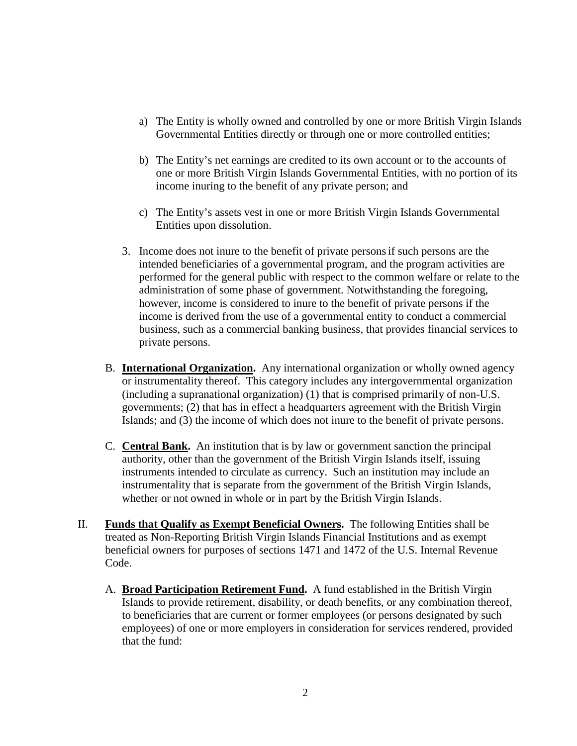- a) The Entity is wholly owned and controlled by one or more British Virgin Islands Governmental Entities directly or through one or more controlled entities;
- b) The Entity's net earnings are credited to its own account or to the accounts of one or more British Virgin Islands Governmental Entities, with no portion of its income inuring to the benefit of any private person; and
- c) The Entity's assets vest in one or more British Virgin Islands Governmental Entities upon dissolution.
- 3. Income does not inure to the benefit of private personsif such persons are the intended beneficiaries of a governmental program, and the program activities are performed for the general public with respect to the common welfare or relate to the administration of some phase of government. Notwithstanding the foregoing, however, income is considered to inure to the benefit of private persons if the income is derived from the use of a governmental entity to conduct a commercial business, such as a commercial banking business, that provides financial services to private persons.
- B. **International Organization.** Any international organization or wholly owned agency or instrumentality thereof.This category includes any intergovernmental organization (including a supranational organization) (1) that is comprised primarily of non-U.S. governments; (2) that has in effect a headquarters agreement with the British Virgin Islands; and (3) the income of which does not inure to the benefit of private persons.
- C. **Central Bank.** An institution that is by law or government sanction the principal authority, other than the government of the British Virgin Islands itself, issuing instruments intended to circulate as currency. Such an institution may include an instrumentality that is separate from the government of the British Virgin Islands, whether or not owned in whole or in part by the British Virgin Islands.
- II. **Funds that Qualify as Exempt Beneficial Owners.** The following Entities shall be treated as Non-Reporting British Virgin Islands Financial Institutions and as exempt beneficial owners for purposes of sections 1471 and 1472 of the U.S. Internal Revenue Code.
	- A. **Broad Participation Retirement Fund.** A fund established in the British Virgin Islands to provide retirement, disability, or death benefits, or any combination thereof, to beneficiaries that are current or former employees (or persons designated by such employees) of one or more employers in consideration for services rendered, provided that the fund: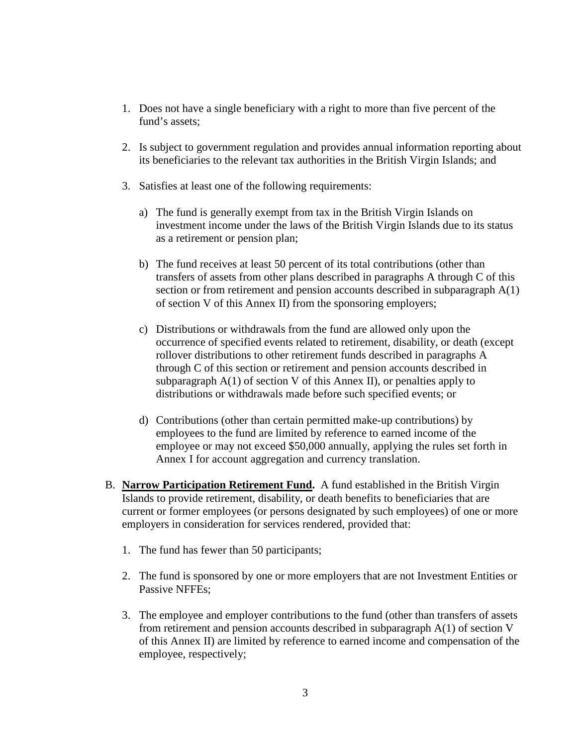- 1. Does not have a single beneficiary with a right to more than five percent of the fund's assets;
- 2. Is subject to government regulation and provides annual information reporting about its beneficiaries to the relevant tax authorities in the British Virgin Islands; and
- 3. Satisfies at least one of the following requirements:
	- a) The fund is generally exempt from tax in the British Virgin Islands on investment income under the laws of the British Virgin Islands due to its status as a retirement or pension plan;
	- b) The fund receives at least 50 percent of its total contributions (other than transfers of assets from other plans described in paragraphs A through C of this section or from retirement and pension accounts described in subparagraph A(1) of section V of this Annex II) from the sponsoring employers;
	- c) Distributions or withdrawals from the fund are allowed only upon the occurrence of specified events related to retirement, disability, or death (except rollover distributions to other retirement funds described in paragraphs A through C of this section or retirement and pension accounts described in subparagraph  $A(1)$  of section V of this Annex II), or penalties apply to distributions or withdrawals made before such specified events; or
	- d) Contributions (other than certain permitted make-up contributions) by employees to the fund are limited by reference to earned income of the employee or may not exceed \$50,000 annually, applying the rules set forth in Annex I for account aggregation and currency translation.
- B. **Narrow Participation Retirement Fund.** A fund established in the British Virgin Islands to provide retirement, disability, or death benefits to beneficiaries that are current or former employees (or persons designated by such employees) of one or more employers in consideration for services rendered, provided that:
	- 1. The fund has fewer than 50 participants;
	- 2. The fund is sponsored by one or more employers that are not Investment Entities or Passive NFFEs;
	- 3. The employee and employer contributions to the fund (other than transfers of assets from retirement and pension accounts described in subparagraph A(1) of section V of this Annex II) are limited by reference to earned income and compensation of the employee, respectively;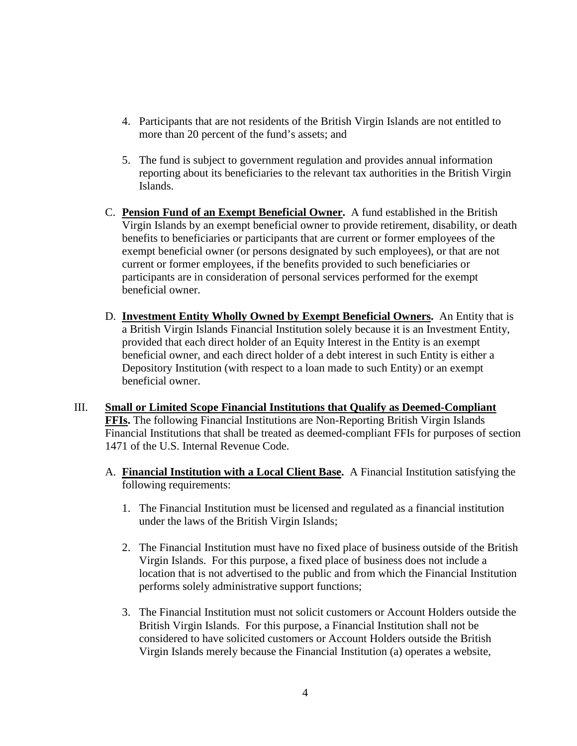- 4. Participants that are not residents of the British Virgin Islands are not entitled to more than 20 percent of the fund's assets; and
- 5. The fund is subject to government regulation and provides annual information reporting about its beneficiaries to the relevant tax authorities in the British Virgin Islands.
- C. **Pension Fund of an Exempt Beneficial Owner.** A fund established in the British Virgin Islands by an exempt beneficial owner to provide retirement, disability, or death benefits to beneficiaries or participants that are current or former employees of the exempt beneficial owner (or persons designated by such employees), or that are not current or former employees, if the benefits provided to such beneficiaries or participants are in consideration of personal services performed for the exempt beneficial owner.
- D. **Investment Entity Wholly Owned by Exempt Beneficial Owners.** An Entity that is a British Virgin Islands Financial Institution solely because it is an Investment Entity, provided that each direct holder of an Equity Interest in the Entity is an exempt beneficial owner, and each direct holder of a debt interest in such Entity is either a Depository Institution (with respect to a loan made to such Entity) or an exempt beneficial owner.
- III. **Small or Limited Scope Financial Institutions that Qualify as Deemed-Compliant FFIs.** The following Financial Institutions are Non-Reporting British Virgin Islands Financial Institutions that shall be treated as deemed-compliant FFIs for purposes of section 1471 of the U.S. Internal Revenue Code.
	- A. **Financial Institution with a Local Client Base.** A Financial Institution satisfying the following requirements:
		- 1. The Financial Institution must be licensed and regulated as a financial institution under the laws of the British Virgin Islands;
		- 2. The Financial Institution must have no fixed place of business outside of the British Virgin Islands. For this purpose, a fixed place of business does not include a location that is not advertised to the public and from which the Financial Institution performs solely administrative support functions;
		- 3. The Financial Institution must not solicit customers or Account Holders outside the British Virgin Islands. For this purpose, a Financial Institution shall not be considered to have solicited customers or Account Holders outside the British Virgin Islands merely because the Financial Institution (a) operates a website,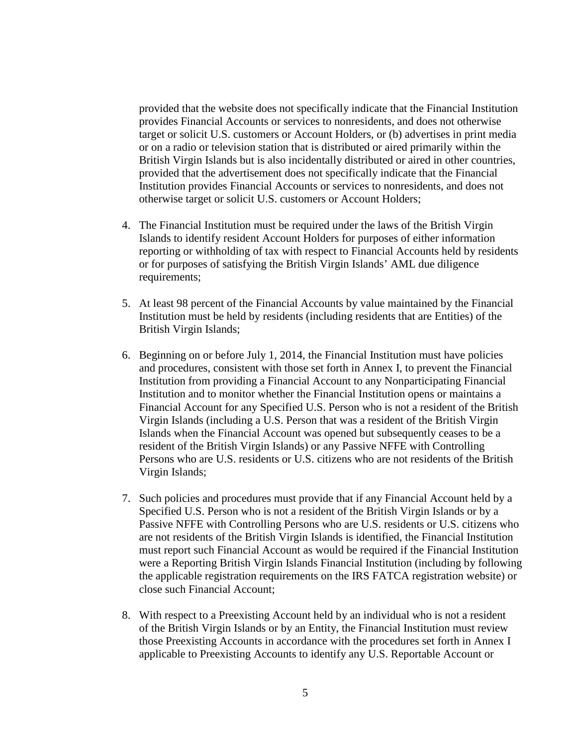provided that the website does not specifically indicate that the Financial Institution provides Financial Accounts or services to nonresidents, and does not otherwise target or solicit U.S. customers or Account Holders, or (b) advertises in print media or on a radio or television station that is distributed or aired primarily within the British Virgin Islands but is also incidentally distributed or aired in other countries, provided that the advertisement does not specifically indicate that the Financial Institution provides Financial Accounts or services to nonresidents, and does not otherwise target or solicit U.S. customers or Account Holders;

- 4. The Financial Institution must be required under the laws of the British Virgin Islands to identify resident Account Holders for purposes of either information reporting or withholding of tax with respect to Financial Accounts held by residents or for purposes of satisfying the British Virgin Islands' AML due diligence requirements;
- 5. At least 98 percent of the Financial Accounts by value maintained by the Financial Institution must be held by residents (including residents that are Entities) of the British Virgin Islands;
- 6. Beginning on or before July 1, 2014, the Financial Institution must have policies and procedures, consistent with those set forth in Annex I, to prevent the Financial Institution from providing a Financial Account to any Nonparticipating Financial Institution and to monitor whether the Financial Institution opens or maintains a Financial Account for any Specified U.S. Person who is not a resident of the British Virgin Islands (including a U.S. Person that was a resident of the British Virgin Islands when the Financial Account was opened but subsequently ceases to be a resident of the British Virgin Islands) or any Passive NFFE with Controlling Persons who are U.S. residents or U.S. citizens who are not residents of the British Virgin Islands;
- 7. Such policies and procedures must provide that if any Financial Account held by a Specified U.S. Person who is not a resident of the British Virgin Islands or by a Passive NFFE with Controlling Persons who are U.S. residents or U.S. citizens who are not residents of the British Virgin Islands is identified, the Financial Institution must report such Financial Account as would be required if the Financial Institution were a Reporting British Virgin Islands Financial Institution (including by following the applicable registration requirements on the IRS FATCA registration website) or close such Financial Account;
- 8. With respect to a Preexisting Account held by an individual who is not a resident of the British Virgin Islands or by an Entity, the Financial Institution must review those Preexisting Accounts in accordance with the procedures set forth in Annex I applicable to Preexisting Accounts to identify any U.S. Reportable Account or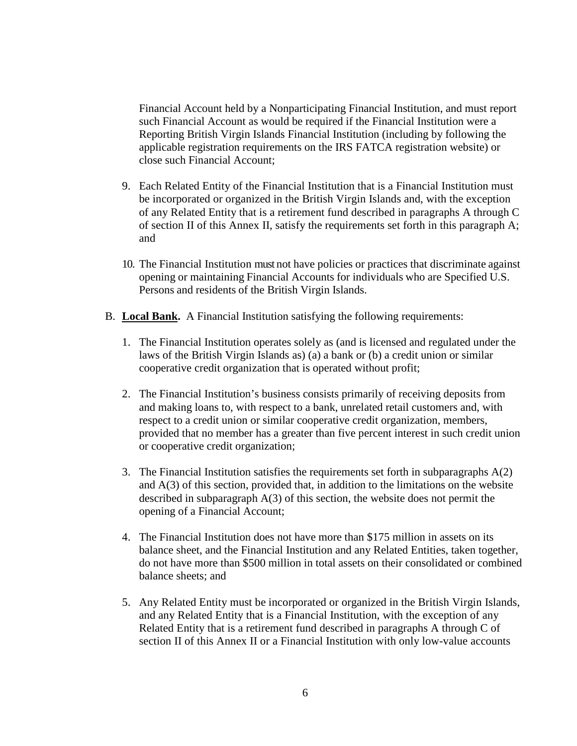Financial Account held by a Nonparticipating Financial Institution, and must report such Financial Account as would be required if the Financial Institution were a Reporting British Virgin Islands Financial Institution (including by following the applicable registration requirements on the IRS FATCA registration website) or close such Financial Account;

- 9. Each Related Entity of the Financial Institution that is a Financial Institution must be incorporated or organized in the British Virgin Islands and, with the exception of any Related Entity that is a retirement fund described in paragraphs A through C of section II of this Annex II, satisfy the requirements set forth in this paragraph A; and
- 10. The Financial Institution must not have policies or practices that discriminate against opening or maintaining Financial Accounts for individuals who are Specified U.S. Persons and residents of the British Virgin Islands.
- B. **Local Bank.** A Financial Institution satisfying the following requirements:
	- 1. The Financial Institution operates solely as (and is licensed and regulated under the laws of the British Virgin Islands as) (a) a bank or (b) a credit union or similar cooperative credit organization that is operated without profit;
	- 2. The Financial Institution's business consists primarily of receiving deposits from and making loans to, with respect to a bank, unrelated retail customers and, with respect to a credit union or similar cooperative credit organization, members, provided that no member has a greater than five percent interest in such credit union or cooperative credit organization;
	- 3. The Financial Institution satisfies the requirements set forth in subparagraphs A(2) and A(3) of this section, provided that, in addition to the limitations on the website described in subparagraph A(3) of this section, the website does not permit the opening of a Financial Account;
	- 4. The Financial Institution does not have more than \$175 million in assets on its balance sheet, and the Financial Institution and any Related Entities, taken together, do not have more than \$500 million in total assets on their consolidated or combined balance sheets; and
	- 5. Any Related Entity must be incorporated or organized in the British Virgin Islands, and any Related Entity that is a Financial Institution, with the exception of any Related Entity that is a retirement fund described in paragraphs A through C of section II of this Annex II or a Financial Institution with only low-value accounts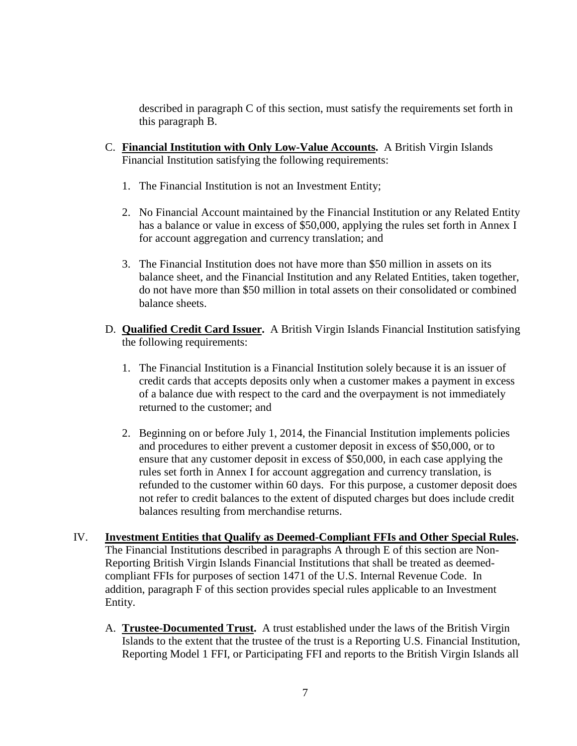described in paragraph C of this section, must satisfy the requirements set forth in this paragraph B.

- C. **Financial Institution with Only Low-Value Accounts.** A British Virgin Islands Financial Institution satisfying the following requirements:
	- 1. The Financial Institution is not an Investment Entity;
	- 2. No Financial Account maintained by the Financial Institution or any Related Entity has a balance or value in excess of \$50,000, applying the rules set forth in Annex I for account aggregation and currency translation; and
	- 3. The Financial Institution does not have more than \$50 million in assets on its balance sheet, and the Financial Institution and any Related Entities, taken together, do not have more than \$50 million in total assets on their consolidated or combined balance sheets.
- D. **Qualified Credit Card Issuer.** A British Virgin Islands Financial Institution satisfying the following requirements:
	- 1. The Financial Institution is a Financial Institution solely because it is an issuer of credit cards that accepts deposits only when a customer makes a payment in excess of a balance due with respect to the card and the overpayment is not immediately returned to the customer; and
	- 2. Beginning on or before July 1, 2014, the Financial Institution implements policies and procedures to either prevent a customer deposit in excess of \$50,000, or to ensure that any customer deposit in excess of \$50,000, in each case applying the rules set forth in Annex I for account aggregation and currency translation, is refunded to the customer within 60 days. For this purpose, a customer deposit does not refer to credit balances to the extent of disputed charges but does include credit balances resulting from merchandise returns.
- IV. **Investment Entities that Qualify as Deemed-Compliant FFIs and Other Special Rules.** The Financial Institutions described in paragraphs A through E of this section are Non-Reporting British Virgin Islands Financial Institutions that shall be treated as deemedcompliant FFIs for purposes of section 1471 of the U.S. Internal Revenue Code. In addition, paragraph F of this section provides special rules applicable to an Investment Entity.
	- A. **Trustee-Documented Trust.** A trust established under the laws of the British Virgin Islands to the extent that the trustee of the trust is a Reporting U.S. Financial Institution, Reporting Model 1 FFI, or Participating FFI and reports to the British Virgin Islands all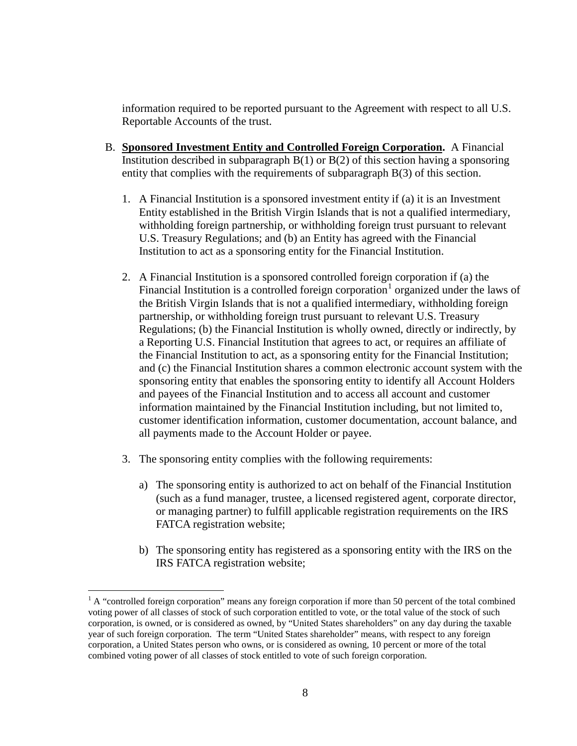information required to be reported pursuant to the Agreement with respect to all U.S. Reportable Accounts of the trust.

- B. **Sponsored Investment Entity and Controlled Foreign Corporation.** A Financial Institution described in subparagraph  $B(1)$  or  $B(2)$  of this section having a sponsoring entity that complies with the requirements of subparagraph B(3) of this section.
	- 1. A Financial Institution is a sponsored investment entity if (a) it is an Investment Entity established in the British Virgin Islands that is not a qualified intermediary, withholding foreign partnership, or withholding foreign trust pursuant to relevant U.S. Treasury Regulations; and (b) an Entity has agreed with the Financial Institution to act as a sponsoring entity for the Financial Institution.
	- 2. A Financial Institution is a sponsored controlled foreign corporation if (a) the Financial Institution is a controlled foreign corporation<sup>[1](#page-49-0)</sup> organized under the laws of the British Virgin Islands that is not a qualified intermediary, withholding foreign partnership, or withholding foreign trust pursuant to relevant U.S. Treasury Regulations; (b) the Financial Institution is wholly owned, directly or indirectly, by a Reporting U.S. Financial Institution that agrees to act, or requires an affiliate of the Financial Institution to act, as a sponsoring entity for the Financial Institution; and (c) the Financial Institution shares a common electronic account system with the sponsoring entity that enables the sponsoring entity to identify all Account Holders and payees of the Financial Institution and to access all account and customer information maintained by the Financial Institution including, but not limited to, customer identification information, customer documentation, account balance, and all payments made to the Account Holder or payee.
	- 3. The sponsoring entity complies with the following requirements:
		- a) The sponsoring entity is authorized to act on behalf of the Financial Institution (such as a fund manager, trustee, a licensed registered agent, corporate director, or managing partner) to fulfill applicable registration requirements on the IRS FATCA registration website;
		- b) The sponsoring entity has registered as a sponsoring entity with the IRS on the IRS FATCA registration website;

<span id="page-49-0"></span> $1 \text{ A}$  "controlled foreign corporation" means any foreign corporation if more than 50 percent of the total combined voting power of all classes of stock of such corporation entitled to vote, or the total value of the stock of such corporation, is owned, or is considered as owned, by "United States shareholders" on any day during the taxable year of such foreign corporation. The term "United States shareholder" means, with respect to any foreign corporation, a United States person who owns, or is considered as owning, 10 percent or more of the total combined voting power of all classes of stock entitled to vote of such foreign corporation.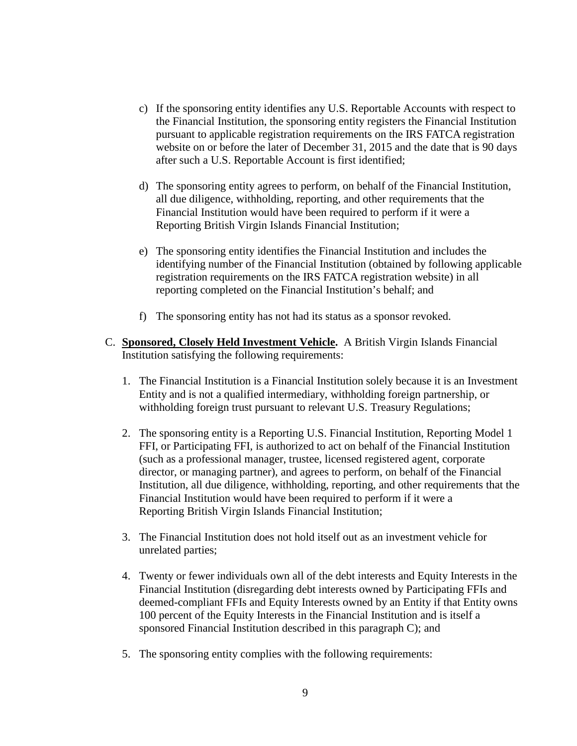- c) If the sponsoring entity identifies any U.S. Reportable Accounts with respect to the Financial Institution, the sponsoring entity registers the Financial Institution pursuant to applicable registration requirements on the IRS FATCA registration website on or before the later of December 31, 2015 and the date that is 90 days after such a U.S. Reportable Account is first identified;
- d) The sponsoring entity agrees to perform, on behalf of the Financial Institution, all due diligence, withholding, reporting, and other requirements that the Financial Institution would have been required to perform if it were a Reporting British Virgin Islands Financial Institution;
- e) The sponsoring entity identifies the Financial Institution and includes the identifying number of the Financial Institution (obtained by following applicable registration requirements on the IRS FATCA registration website) in all reporting completed on the Financial Institution's behalf; and
- f) The sponsoring entity has not had its status as a sponsor revoked.
- C. **Sponsored, Closely Held Investment Vehicle.** A British Virgin Islands Financial Institution satisfying the following requirements:
	- 1. The Financial Institution is a Financial Institution solely because it is an Investment Entity and is not a qualified intermediary, withholding foreign partnership, or withholding foreign trust pursuant to relevant U.S. Treasury Regulations;
	- 2. The sponsoring entity is a Reporting U.S. Financial Institution, Reporting Model 1 FFI, or Participating FFI, is authorized to act on behalf of the Financial Institution (such as a professional manager, trustee, licensed registered agent, corporate director, or managing partner), and agrees to perform, on behalf of the Financial Institution, all due diligence, withholding, reporting, and other requirements that the Financial Institution would have been required to perform if it were a Reporting British Virgin Islands Financial Institution;
	- 3. The Financial Institution does not hold itself out as an investment vehicle for unrelated parties;
	- 4. Twenty or fewer individuals own all of the debt interests and Equity Interests in the Financial Institution (disregarding debt interests owned by Participating FFIs and deemed-compliant FFIs and Equity Interests owned by an Entity if that Entity owns 100 percent of the Equity Interests in the Financial Institution and is itself a sponsored Financial Institution described in this paragraph C); and
	- 5. The sponsoring entity complies with the following requirements: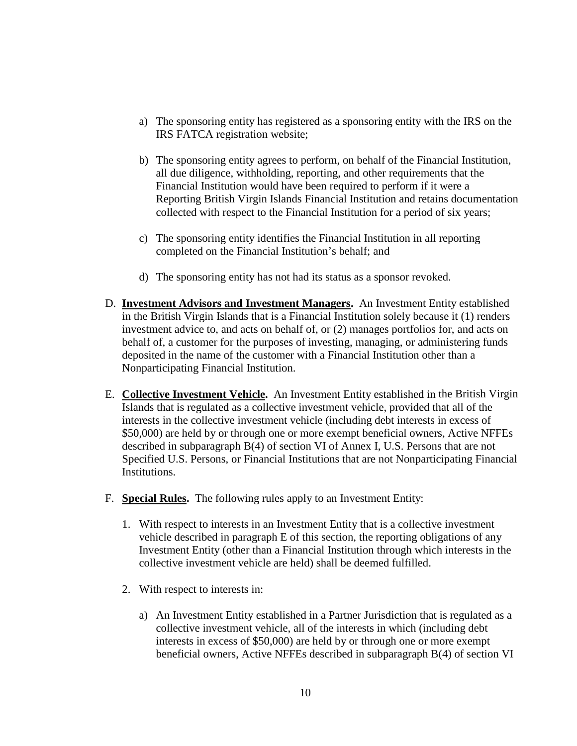- a) The sponsoring entity has registered as a sponsoring entity with the IRS on the IRS FATCA registration website;
- b) The sponsoring entity agrees to perform, on behalf of the Financial Institution, all due diligence, withholding, reporting, and other requirements that the Financial Institution would have been required to perform if it were a Reporting British Virgin Islands Financial Institution and retains documentation collected with respect to the Financial Institution for a period of six years;
- c) The sponsoring entity identifies the Financial Institution in all reporting completed on the Financial Institution's behalf; and
- d) The sponsoring entity has not had its status as a sponsor revoked.
- D. **Investment Advisors and Investment Managers.** An Investment Entity established in the British Virgin Islands that is a Financial Institution solely because it (1) renders investment advice to, and acts on behalf of, or (2) manages portfolios for, and acts on behalf of, a customer for the purposes of investing, managing, or administering funds deposited in the name of the customer with a Financial Institution other than a Nonparticipating Financial Institution.
- E. **Collective Investment Vehicle.** An Investment Entity established in the British Virgin Islands that is regulated as a collective investment vehicle, provided that all of the interests in the collective investment vehicle (including debt interests in excess of \$50,000) are held by or through one or more exempt beneficial owners, Active NFFEs described in subparagraph B(4) of section VI of Annex I, U.S. Persons that are not Specified U.S. Persons, or Financial Institutions that are not Nonparticipating Financial Institutions.
- F. **Special Rules.** The following rules apply to an Investment Entity:
	- 1. With respect to interests in an Investment Entity that is a collective investment vehicle described in paragraph E of this section, the reporting obligations of any Investment Entity (other than a Financial Institution through which interests in the collective investment vehicle are held) shall be deemed fulfilled.
	- 2. With respect to interests in:
		- a) An Investment Entity established in a Partner Jurisdiction that is regulated as a collective investment vehicle, all of the interests in which (including debt interests in excess of \$50,000) are held by or through one or more exempt beneficial owners, Active NFFEs described in subparagraph B(4) of section VI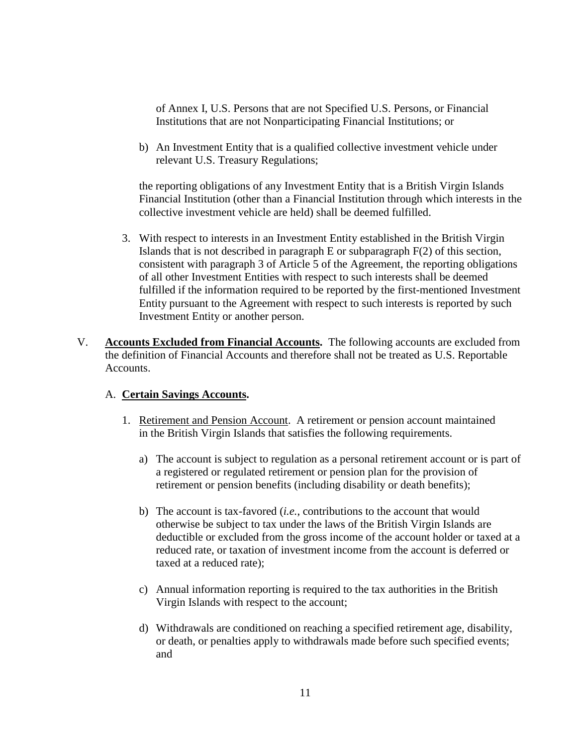of Annex I, U.S. Persons that are not Specified U.S. Persons, or Financial Institutions that are not Nonparticipating Financial Institutions; or

b) An Investment Entity that is a qualified collective investment vehicle under relevant U.S. Treasury Regulations;

the reporting obligations of any Investment Entity that is a British Virgin Islands Financial Institution (other than a Financial Institution through which interests in the collective investment vehicle are held) shall be deemed fulfilled.

- 3. With respect to interests in an Investment Entity established in the British Virgin Islands that is not described in paragraph E or subparagraph F(2) of this section, consistent with paragraph 3 of Article 5 of the Agreement, the reporting obligations of all other Investment Entities with respect to such interests shall be deemed fulfilled if the information required to be reported by the first-mentioned Investment Entity pursuant to the Agreement with respect to such interests is reported by such Investment Entity or another person.
- V. **Accounts Excluded from Financial Accounts.** The following accounts are excluded from the definition of Financial Accounts and therefore shall not be treated as U.S. Reportable Accounts.

### A. **Certain Savings Accounts.**

- 1. Retirement and Pension Account. A retirement or pension account maintained in the British Virgin Islands that satisfies the following requirements.
	- a) The account is subject to regulation as a personal retirement account or is part of a registered or regulated retirement or pension plan for the provision of retirement or pension benefits (including disability or death benefits);
	- b) The account is tax-favored (*i.e.*, contributions to the account that would otherwise be subject to tax under the laws of the British Virgin Islands are deductible or excluded from the gross income of the account holder or taxed at a reduced rate, or taxation of investment income from the account is deferred or taxed at a reduced rate);
	- c) Annual information reporting is required to the tax authorities in the British Virgin Islands with respect to the account;
	- d) Withdrawals are conditioned on reaching a specified retirement age, disability, or death, or penalties apply to withdrawals made before such specified events; and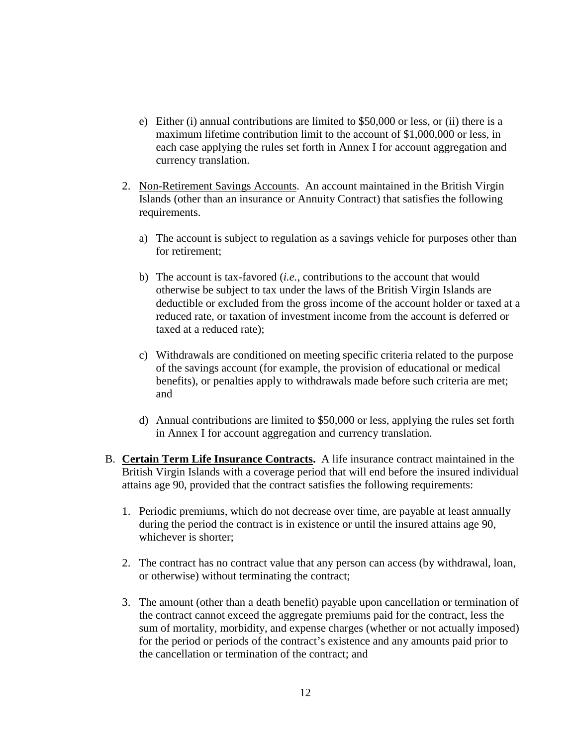- e) Either (i) annual contributions are limited to \$50,000 or less, or (ii) there is a maximum lifetime contribution limit to the account of \$1,000,000 or less, in each case applying the rules set forth in Annex I for account aggregation and currency translation.
- 2. Non-Retirement Savings Accounts. An account maintained in the British Virgin Islands (other than an insurance or Annuity Contract) that satisfies the following requirements.
	- a) The account is subject to regulation as a savings vehicle for purposes other than for retirement;
	- b) The account is tax-favored (*i.e.*, contributions to the account that would otherwise be subject to tax under the laws of the British Virgin Islands are deductible or excluded from the gross income of the account holder or taxed at a reduced rate, or taxation of investment income from the account is deferred or taxed at a reduced rate);
	- c) Withdrawals are conditioned on meeting specific criteria related to the purpose of the savings account (for example, the provision of educational or medical benefits), or penalties apply to withdrawals made before such criteria are met; and
	- d) Annual contributions are limited to \$50,000 or less, applying the rules set forth in Annex I for account aggregation and currency translation.
- B. **Certain Term Life Insurance Contracts.** A life insurance contract maintained in the British Virgin Islands with a coverage period that will end before the insured individual attains age 90, provided that the contract satisfies the following requirements:
	- 1. Periodic premiums, which do not decrease over time, are payable at least annually during the period the contract is in existence or until the insured attains age 90, whichever is shorter;
	- 2. The contract has no contract value that any person can access (by withdrawal, loan, or otherwise) without terminating the contract;
	- 3. The amount (other than a death benefit) payable upon cancellation or termination of the contract cannot exceed the aggregate premiums paid for the contract, less the sum of mortality, morbidity, and expense charges (whether or not actually imposed) for the period or periods of the contract's existence and any amounts paid prior to the cancellation or termination of the contract; and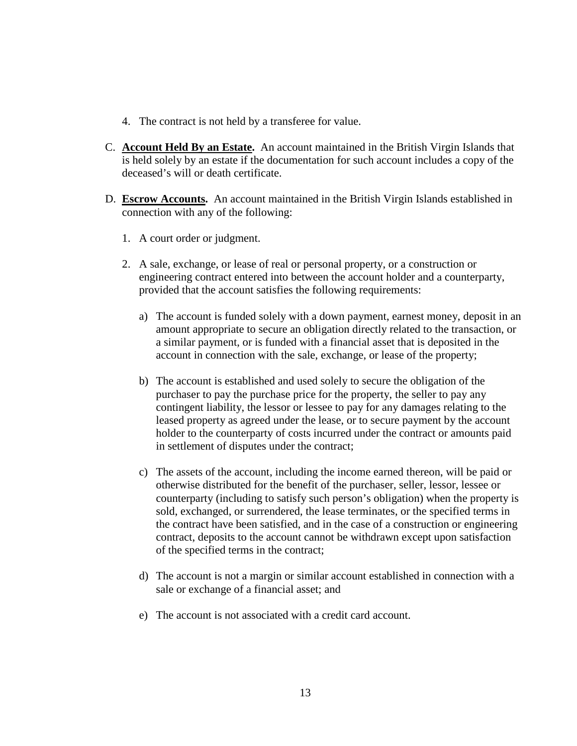- 4. The contract is not held by a transferee for value.
- C. **Account Held By an Estate.** An account maintained in the British Virgin Islands that is held solely by an estate if the documentation for such account includes a copy of the deceased's will or death certificate.
- D. **Escrow Accounts.** An account maintained in the British Virgin Islands established in connection with any of the following:
	- 1. A court order or judgment.
	- 2. A sale, exchange, or lease of real or personal property, or a construction or engineering contract entered into between the account holder and a counterparty, provided that the account satisfies the following requirements:
		- a) The account is funded solely with a down payment, earnest money, deposit in an amount appropriate to secure an obligation directly related to the transaction, or a similar payment, or is funded with a financial asset that is deposited in the account in connection with the sale, exchange, or lease of the property;
		- b) The account is established and used solely to secure the obligation of the purchaser to pay the purchase price for the property, the seller to pay any contingent liability, the lessor or lessee to pay for any damages relating to the leased property as agreed under the lease, or to secure payment by the account holder to the counterparty of costs incurred under the contract or amounts paid in settlement of disputes under the contract;
		- c) The assets of the account, including the income earned thereon, will be paid or otherwise distributed for the benefit of the purchaser, seller, lessor, lessee or counterparty (including to satisfy such person's obligation) when the property is sold, exchanged, or surrendered, the lease terminates, or the specified terms in the contract have been satisfied, and in the case of a construction or engineering contract, deposits to the account cannot be withdrawn except upon satisfaction of the specified terms in the contract;
		- d) The account is not a margin or similar account established in connection with a sale or exchange of a financial asset; and
		- e) The account is not associated with a credit card account.